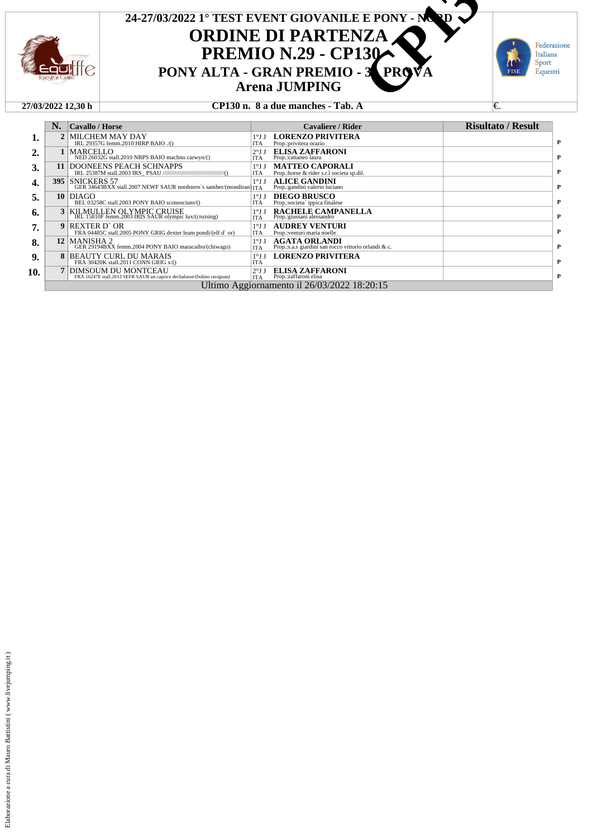

## **ORDINE DI PARTENZA PREMIO N.29 - CP130**<br>PONY ALTA - GRAN PREMIO - 3 **Arena JUMPING 24-27/03/2022 1° TEST EVENT GIOVANILE E PONY - NORD**  $\begin{array}{r} \n 0.3/20221^{\circ} \text{ TEST EVENT GIOVANILE E PONY - MQ} \\
 \n \text{ORDINE DI PARTENZA} \\
 \n \text{PREMIO N.29 - CP130} \\
 \n \text{PREMIO - 3} \\
 \n \text{Area JUMPING} \\
 \n \text{CP130 n. 8 a due manches - Tab. A} \\
 \n \text{CPI30 n. 8 a due manches - Tab. A} \n \end{array}$

Federazione Italiana

Sport Equestri



#### **27/03/2022 12,30 h CP130 n. 8 a due manches - Tab. A** €.

|                  | N.  | Cavallo / Horse                                                                                       | <b>Cavaliere / Rider</b>                                                                                      | <b>Risultato / Result</b> |
|------------------|-----|-------------------------------------------------------------------------------------------------------|---------------------------------------------------------------------------------------------------------------|---------------------------|
| 1.               |     | MILCHEM MAY DAY<br>IRL 29357G femm.2010 HIRP BAIO ./()                                                | <b>LORENZO PRIVITERA</b><br>$1^{\circ}$ J J<br><b>ITA</b><br>Prop.:privitera orazio                           |                           |
| $\overline{2}$ . |     | MARCELLO<br>NED 26032G stall.2010 NRPS BAIO machno carwyn/()                                          | <b>ELISA ZAFFARONI</b><br>2°JJ<br>Prop.:cattaneo laura<br><b>ITA</b>                                          |                           |
| 3.               | 11  | DOONEENS PEACH SCHNAPPS                                                                               | <b>MATTEO CAPORALI</b><br>$1^{\circ}$ J J<br><b>ITA</b><br>Prop.:horse & rider s.r.l societa sp.dil.          |                           |
| 4.               | 395 | ISNICKERS 57<br>GER 34643BXX stall.2007 NEWF SAUR nordstern's samber/(mondiran) ITA                   | <b>ALICE GANDINI</b><br>$1^{\circ}$ J J<br>Prop.: gandini valerio luciano                                     |                           |
| 5.               | 10  | DIAGO<br>BEL 03258C stall.2003 PONY BAIO sconosciuto/()                                               | <b>DIEGO BRUSCO</b><br>$1^{\circ}$ J J<br><b>ITA</b><br>Prop.:societa' ippica finalese                        |                           |
| 6.               | 3   | KILMULLEN OLYMPIC CRUISE<br>IRL 15810F femm.2003 IRIS SAUR olympic lux/(cruising)                     | <b>RACHELE CAMPANELLA</b><br>$1^{\circ}$ J J<br>Prop.:giussani alessandro<br><b>ITA</b>                       |                           |
| 7.               | 9   | REXTER D´OR<br>FRA 04485C stall.2005 PONY GRIG dexter leam pondi/(elf d'or)                           | <b>AUDREY VENTURI</b><br>$1^{\circ}$ J J<br><b>ITA</b><br>Prop.: venturi maria noelle                         |                           |
| 8.               |     | 12 MANISHA 2<br>GER 29194BXX femm.2004 PONY BAIO maracaibo/(chiwago)                                  | <b>AGATA ORLANDI</b><br>Prop.:s.a.s giardini san rocco vittorio orlandi & c.<br>$1^{\circ}$ J J<br><b>ITA</b> |                           |
| 9.               | 8   | <b>BEAUTY CURL DU MARAIS</b><br>FRA 30420K stall.2011 CONN GRIG x/()                                  | <b>LORENZO PRIVITERA</b><br>$1^{\circ}$ JJ<br><b>ITA</b>                                                      |                           |
| 10.              |     | <b>DIMSOUM DU MONTCEAU</b><br>FRA 16247E stall.2013 SEFR SAUR un caprice dechalusse/(bolino ravignan) | <b>ELISA ZAFFARONI</b><br>Prop.:zaffaroni elisa<br>2°JJ<br><b>ITA</b>                                         |                           |
|                  |     |                                                                                                       | Ultimo Aggiornamento il 26/03/2022 18:20:15                                                                   |                           |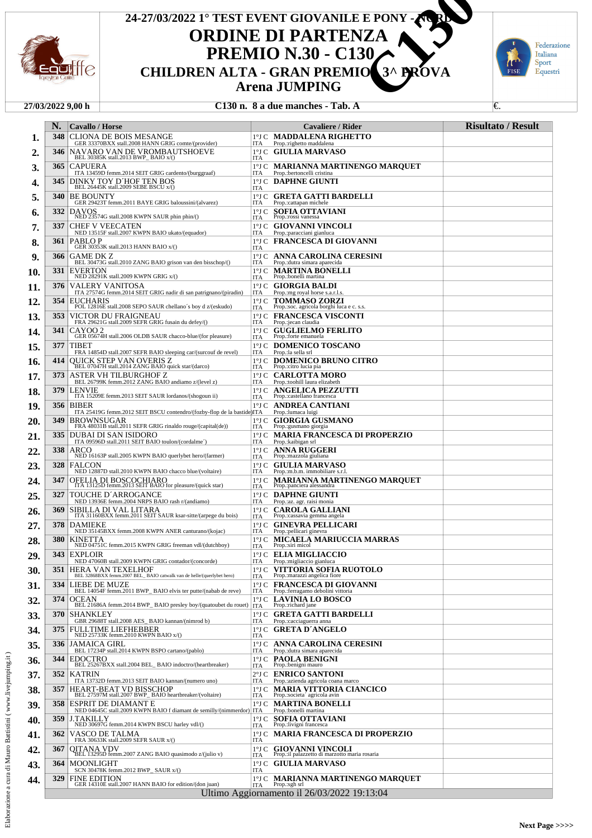

## **ORDINE DI PARTENZA PREMIO N.30 - C130<br>CHILDREN ALTA - GRAN PREMIO Arena JUMPING 24-27/03/2022 1° TEST EVENT GIOVANILE E PONY - NORD CHILDREN ALTA - GRAN PREMIO 3^ PROVANCE CHILDREN ALTA - GRAN PREMIO 3^ PROVA**<br>CHILDREN ALTA - GRAN PREMIO 3^ PROVA<br>C130 n. 8 a due manches - Tab. A



#### **27/03/2022 9,00 h C130 n. 8 a due manches - Tab. A** €.

|     | N.    | <b>Cavallo</b> / Horse                                                                                                                           | <b>Cavaliere / Rider</b>                                                                                   | <b>Risultato / Result</b> |
|-----|-------|--------------------------------------------------------------------------------------------------------------------------------------------------|------------------------------------------------------------------------------------------------------------|---------------------------|
| 1.  | 348   | CLIONA DE BOIS MESANGE<br>GER 33370BXX stall.2008 HANN GRIG comte/(provider)                                                                     | 1°J C MADDALENA RIGHETTO<br>ITA<br>Prop.:righetto maddalena                                                |                           |
| 2.  | 346   | NAVARO VAN DE VROMBAUTSHOEVE<br>BEL 30385K stall.2013 BWP_BAIO x/()                                                                              | 1°J C GIULIA MARVASO<br>ITA                                                                                |                           |
| 3.  | 365   | <b>CAPUERA</b><br>ITA 13459D femm.2014 SEIT GRIG cardento/(burggraaf)                                                                            | <b>1°J C MARIANNA MARTINENGO MARQUET</b><br>ITA<br>Prop.:bertoncelli cristina                              |                           |
| 4.  | 345   | DINKY TOY D'HOF TEN BOS<br>BEL 26445K stall.2009 SEBE BSCU x/()                                                                                  | 1°J C DAPHNE GIUNTI<br>ITA                                                                                 |                           |
| 5.  | 340 I | <b>BE BOUNTY</b>                                                                                                                                 | 1°J C GRETA GATTI BARDELLI                                                                                 |                           |
| 6.  | 332   | GER 29423T femm.2011 BAYE GRIG baloussini/(alvarez)<br><b>DAVOS</b><br>NED 23574G stall.2008 KWPN SAUR phin phin/()                              | ITA<br>Prop.:cattapan michele<br><b>SOFIA OTTAVIANI</b><br>1°J C                                           |                           |
| 7.  | 337   | <b>CHEF V VEECATEN</b>                                                                                                                           | Prop.: rossi vanessa<br>ITA<br>1°J C GIOVANNI VINCOLI                                                      |                           |
| 8.  | 361   | NED 13515F stall.2007 KWPN BAIO ukato/(equador)<br>PABLO P                                                                                       | ITA<br>Prop.:paracciani gianluca<br>1°J C FRANCESCA DI GIOVANNI                                            |                           |
| 9.  | 366   | GER 30353K stall.2013 HANN BAIO x/()<br>GAME DK Z                                                                                                | ITA<br>1°J C ANNA CAROLINA CERESINI                                                                        |                           |
| 10. | 331   | BEL 30473G stall.2010 ZANG BAIO grison van den bisschop/()<br><b>EVERTON</b>                                                                     | ITA<br>Prop.: dutra simara aparecida<br><b>MARTINA BONELLI</b><br>$1^{\circ}$ J C                          |                           |
| 11. | 376   | NED 28291K stall.2009 KWPN GRIG x/()<br>VALERY VANITOSA                                                                                          | Prop.:bonelli martina<br>ITA<br>$1^{\circ}$ J C<br><b>GIORGIA BALDI</b>                                    |                           |
| 12. | 354   | ITA 27574G femm.2014 SEIT GRIG nadir di san patrignano/(piradin)<br><b>EUCHARIS</b>                                                              | ITA<br>Prop.:mg royal horse s.a.r.l.s.<br>$1^{\circ}$ J C<br><b>TOMMASO ZORZI</b>                          |                           |
| 13. | 353   | POL 12816E stall.2008 SEPO SAUR chellano's boy d z/(eskudo)<br>VICTOR DU FRAIGNEAU                                                               | Prop.:soc. agricola borghi luca e c. s.s.<br>ITA<br><b>1°J C FRANCESCA VISCONTI</b>                        |                           |
| 14. | 341   | FRA 29621G stall.2009 SEFR GRIG fusain du defey/()<br>CAYOO 2                                                                                    | ITA<br>Prop.: jecan claudia<br><b>GUGLIELMO FERLITO</b><br>1°J C                                           |                           |
| 15. | 377   | GER 05674H stall.2006 OLDB SAUR chacco-blue/(for pleasure)<br><b>TIBET</b>                                                                       | Prop.:forte emanuela<br>ITA<br>$1^{\circ}$ J C<br><b>DOMENICO TOSCANO</b>                                  |                           |
| 16. | 414   | FRA 14854D stall.2007 SEFR BAIO sleeping car/(surcouf de revel)<br>QUICK STEP VAN OVERIS Z<br>BEL 07047H stall.2014 ZANG BAIO quick star/(darco) | ITA<br>Prop.:la sella srl<br><b>DOMENICO BRUNO CITRO</b><br>1°J C                                          |                           |
| 17. | 373   | ASTER VH TILBURGHOF Z                                                                                                                            | Prop.: citro lucia pia<br>ITA<br><b>CARLOTTA MORO</b><br>$1^{\circ}$ J C                                   |                           |
| 18. | 379   | BEL 26799K femm.2012 ZANG BAIO andiamo z/(level z)<br>LENVIE                                                                                     | ITA<br>Prop.:toohill laura elizabeth<br><b>ANGELICA PEZZUTTI</b><br>1°J C                                  |                           |
| 19. | 356   | ITA 15209E femm.2013 SEIT SAUR lordanos/(shogoun ii)<br><b>BIBER</b>                                                                             | Prop.:castellano francesca<br>ITA<br>$1^{\circ}$ J C<br>ANDREA CANTIANI                                    |                           |
| 20. | 349   | ITA 25419G femm.2012 SEIT BSCU contendro/(fozby-flop de la bastide)ITA<br>BROWNSUGAR                                                             | Prop.: lumaca luigi<br><b>GIORGIA GUSMANO</b><br>$1^{\circ}$ J C                                           |                           |
| 21. | 335   | FRA 48031B stall.2011 SEFR GRIG rinaldo rouge/(capital(de))<br>DUBAI DI SAN ISIDORO                                                              | Prop.: gusmano giorgia<br>ITA<br><b>MARIA FRANCESCA DI PROPERZIO</b><br>$1^{\circ}$ J C                    |                           |
| 22. | 338   | ITA 09596D stall.2011 SEIT BAIO toulon/(cordalme^)<br>ARCO                                                                                       | ITA<br>Prop.: kaibigan srl<br><b>ANNA RUGGERI</b><br>$1^{\circ}$ J C                                       |                           |
| 23. | 328   | NED 16163P stall.2005 KWPN BAIO querlybet hero/(farmer)<br><b>FALCON</b>                                                                         | Prop.:mazzola giuliana<br>ITA<br><b>GIULIA MARVASO</b><br>$1^{\circ}$ J C                                  |                           |
| 24. | 347   | NED 12887D stall.2010 KWPN BAIO chacco blue/(voltaire)<br>OFELIA DI BOSCOCHIARO<br>ITA 13125D femm.2013 SEIT BAIO for pleasure/(quick star)      | ITA<br>Prop.:m.b.m. immobiliare s.r.l.<br><b>MARIANNA MARTINENGO MARQUET</b><br>$1^{\circ}$ J C            |                           |
| 25. | 327   | TOUCHE D´ARROGANCE                                                                                                                               | Prop.:panciera alessandra<br>ITA<br>1°J C DAPHNE GIUNTI                                                    |                           |
| 26. | 369   | NED 13936E femm.2004 NRPS BAIO rash r/(andiamo)<br>SIBILLA DI VAL LITARA<br>ITA 31160BXX femm.2011 SEIT SAUR ksar-sitte/(arpege du bois)         | ITA<br>Prop.:az. agr. raisi monia<br><b>CAROLA GALLIANI</b><br>1°J C<br>Prop.:cassavia gemma angela<br>ITA |                           |
| 27. | 378   | <b>DAMIEKE</b><br>NED 35145BXX femm.2008 KWPN ANER canturano/(kojac)                                                                             | <b>GINEVRA PELLICARI</b><br>$1^{\circ}$ J C<br>ITA<br>Prop.:pellicari ginevra                              |                           |
| 28. | 380   | <b>KINETTA</b><br>NED 04751C femm.2015 KWPN GRIG freeman vdl/(dutchboy)                                                                          | <b>MICAELA MARIUCCIA MARRAS</b><br>1°J C<br>Prop.:siri micol<br>ITA                                        |                           |
| 29. | 343   | <b>EXPLOIR</b><br>NED 47060B stall.2009 KWPN GRIG contador/(concorde)                                                                            | <b>1°J C ELIA MIGLIACCIO</b><br>ITA<br>Prop.:migliaccio gianluca                                           |                           |
| 30. |       | 351  HERA VAN TEXELHOF<br>BEL 32868BXX femm.2007 BEL_BAIO catwalk van de helle/(querlybet hero)                                                  | VITTORIA SOFIA RUOTOLO<br>$1^{\circ}$ J C<br>Prop.: marazzi angelica fiore<br>ITA                          |                           |
| 31. | 334   | LIEBE DE MUZE<br>BEL 14054F femm.2011 BWP_BAIO elvis ter putte/(nabab de reve)                                                                   | 1°J C FRANCESCA DI GIOVANNI<br>ITA<br>Prop.: ferragamo debolini vittoria                                   |                           |
| 32. | 374   | <b>OCEAN</b><br>BEL 21686A femm.2014 BWP_BAIO presley boy/(quatoubet du rouet)                                                                   | <b>LAVINIA LO BOSCO</b><br>$1^{\circ}$ J C<br>Prop.:richard jane<br><b>ITA</b>                             |                           |
| 33. | 370   | SHANKLEY<br>GBR 29688T stall.2008 AES BAIO kannan/(nimrod b)                                                                                     | 1ºJ C GRETA GATTI BARDELLI<br>ITA<br>Prop.:cacciaguerra anna                                               |                           |
| 34. | 375   | <b>FULLTIME LIEFHEBBER</b><br>NED 25733K femm.2010 KWPN BAIO x/()                                                                                | 1°J C GRETA D'ANGELO<br>ITA                                                                                |                           |
| 35. | 336   | <b>JAMAICA GIRL</b><br>BEL 17234P stall.2014 KWPN BSPO cartano/(pablo)                                                                           | 1°J C ANNA CAROLINA CERESINI<br>ITA<br>Prop.: dutra simara aparecida                                       |                           |
| 36. | 344   | <b>EDOCTRO</b><br>BEL 25267BXX stall.2004 BEL_BAIO indoctro/(heartbreaker)                                                                       | PAOLA BENIGNI<br>$1^{\circ}$ J C<br>Prop.:benigni mauro<br><b>ITA</b>                                      |                           |
| 37. | 352   | <b>KATRIN</b><br>ITA 13732D femm.2013 SEIT BAIO kannan/(numero uno)                                                                              | 2°J C ENRICO SANTONI<br>ITA<br>Prop.: azienda agricola coana marco                                         |                           |
| 38. | 357   | <b>HEART-BEAT VD BISSCHOP</b><br>BEL 27597M stall.2007 BWP_BAIO heartbreaker/(voltaire)                                                          | <b>MARIA VITTORIA CIANCICO</b><br>$1^{\circ}$ J C<br>Prop.:societa' agricola avin<br>ITA                   |                           |
| 39. | 358   | ESPRIT DE DIAMANT E<br>NED 04645C stall.2009 KWPN BAIO f diamant de semilly/(nimmerdor)                                                          | <b>MARTINA BONELLI</b><br>$1^{\circ}$ J C<br>ITA<br>Prop.:bonelli martina                                  |                           |
| 40. | 359   | J.TAKILLY<br>NED 30697G femm.2014 KWPN BSCU harley vdl/()                                                                                        | <b>SOFIA OTTAVIANI</b><br>$1^{\circ}$ J C<br>Prop.: livigni francesca<br><b>ITA</b>                        |                           |
| 41. | 362   | VASCO DE TALMA<br>FRA 30633K stall.2009 SEFR SAUR x/()                                                                                           | <b>1°J C- MARIA FRANCESCA DI PROPERZIO</b><br>ITA                                                          |                           |
| 42. | 367   | OITANA VDV<br>BEL 13295D femm.2007 ZANG BAIO quasimodo z/(julio v)                                                                               | 1°J C GIOVANNI VINCOLI<br>Prop.:il palazzetto di marzotto maria rosaria<br>ITA                             |                           |
| 43. | 364   | MOONLIGHT<br>SCN 30478K femm.2012 BWP_SAUR x/()                                                                                                  | 1°J C GIULIA MARVASO<br>ITA                                                                                |                           |
| 44. | 329   | <b>FINE EDITION</b><br>GER 14310E stall.2007 HANN BAIO for edition/(don juan)                                                                    | MARIANNA MARTINENGO MARQUET<br>$1^{\circ}$ J C<br>Prop.:sgh srl<br><b>ITA</b>                              |                           |
|     |       |                                                                                                                                                  | Ultimo Aggiornamento il 26/03/2022 19:13:04                                                                |                           |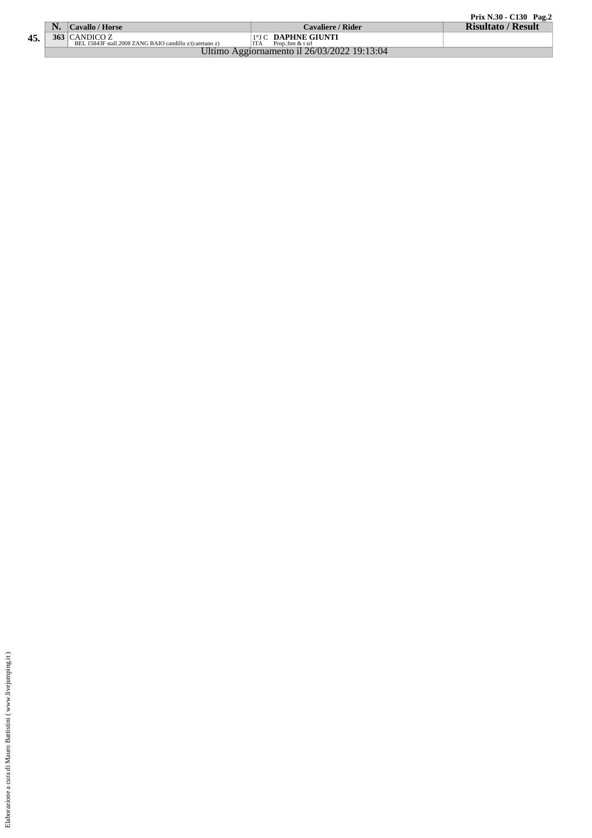|     |    |                                                         |                                             | Prix N.30 - C130 Pag.2    |
|-----|----|---------------------------------------------------------|---------------------------------------------|---------------------------|
|     | N. | Cavallo / Horse                                         | Cavaliere / Rider                           | <b>Risultato / Result</b> |
| 45. |    | $363$ CANDICO Z                                         | 1°J C DAPHNE GIUNTI                         |                           |
|     |    | BEL 15843F stall.2008 ZANG BAIO candillo z/(caretano z) | Prop.:hm & t srl                            |                           |
|     |    |                                                         | Ultimo Aggiornamento il 26/03/2022 19:13:04 |                           |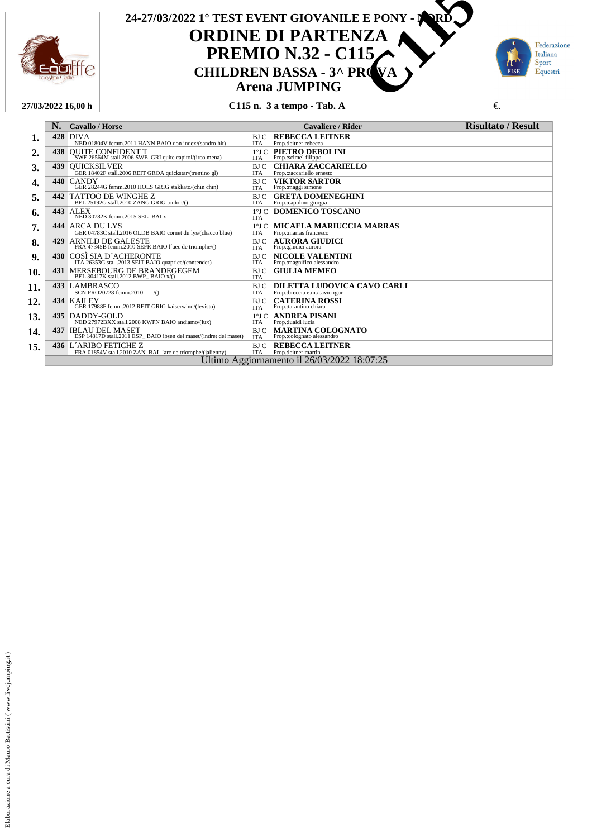

## **ORDINE DI PARTENZA PREMIO N.32 - C115**<br>CHILDREN BASSA - 3^ PROVA **Arena JUMPING 24-27/03/2022 1° TEST EVENT GIOVANILE E PONY - NORD CAUSE EXENT GIOVANILE E PONY - AND CHILDREN BASSA - 3^ PROVALE CHILDREN BASSA - 3^ PROVALE CHILDREN BASSA - 3^ PROVALE CHIS n. 3 a tempo - Tab. A**



#### **27/03/2022 16,00 h C115 n. 3 a tempo - Tab. A** €.

|     | N.  | <b>Cavallo</b> / Horse                                                                             |                               | <b>Cavaliere / Rider</b>                                     | <b>Risultato / Result</b> |
|-----|-----|----------------------------------------------------------------------------------------------------|-------------------------------|--------------------------------------------------------------|---------------------------|
| 1.  | 428 | <b>DIVA</b><br>NED 01804V femm.2011 HANN BAIO don index/(sandro hit)                               | BJ C<br><b>ITA</b>            | <b>REBECCA LEITNER</b><br>Prop.:leitner rebecca              |                           |
| 2.  | 438 | <b>OUITE CONFIDENT T</b><br>SWE 26564M stall.2006 SWE GRI quite capitol/(irco mena)                | $1^{\circ}$ J C<br><b>ITA</b> | PIETRO DEBOLINI<br>Prop.:scime filippo                       |                           |
| 3.  | 439 | <b>OUICKSILVER</b><br>GER 18402F stall.2006 REIT GROA quickstar/(trentino gl)                      | BJ C<br><b>ITA</b>            | <b>CHIARA ZACCARIELLO</b><br>Prop.:zaccariello ernesto       |                           |
| 4.  | 440 | <b>CANDY</b><br>GER 28244G femm.2010 HOLS GRIG stakkato/(chin chin)                                | BJ C<br><b>ITA</b>            | <b>VIKTOR SARTOR</b><br>Prop.: maggi simone                  |                           |
| 5.  | 442 | TATTOO DE WINGHE Z<br>BEL 25192G stall.2010 ZANG GRIG toulon/()                                    | BJ C<br><b>ITA</b>            | <b>GRETA DOMENEGHINI</b><br>Prop.:capolino giorgia           |                           |
| 6.  | 443 | <b>ALEX</b><br>NED 30782K femm.2015 SEL BAI x                                                      | $1^{\circ}$ J C<br><b>ITA</b> | DOMENICO TOSCANO                                             |                           |
| 7.  | 444 | ARCA DU LYS<br>GER 04783C stall.2016 OLDB BAIO cornet du lys/(chacco blue)                         | $1^{\circ}$ J C<br><b>ITA</b> | <b>MICAELA MARIUCCIA MARRAS</b><br>Prop.: marras francesco   |                           |
| 8.  | 429 | ARNILD DE GALESTE<br>FRA 47345B femm.2010 SEFR BAIO l'aec de triomphe/()                           | BJ C<br><b>ITA</b>            | <b>AURORA GIUDICI</b><br>Prop.:giudici aurora                |                           |
| 9.  | 430 | COSÌ SIA D'ACHERONTE<br>ITA 26353G stall.2013 SEIT BAIO quaprice/(contender)                       | BJ C<br><b>ITA</b>            | <b>NICOLE VALENTINI</b><br>Prop.: magnifico alessandro       |                           |
| 10. | 431 | $\underset{\text{BEL 30417K stall.2012 BWP\_BAIO x/0}{\text{BEL 30417K stall.2012 BWP\_BAIO x/0}}$ | <b>BJ</b> C<br><b>ITA</b>     | <b>GIULIA MEMEO</b>                                          |                           |
| 11. |     | 433 LAMBRASCO<br>SCN PRO20728 femm.2010<br>$\sqrt{0}$                                              | <b>BJC</b><br><b>ITA</b>      | DILETTA LUDOVICA CAVO CARLI<br>Prop.:breccia e.m./cavio igor |                           |
| 12. | 434 | <b>KAILEY</b><br>GER 17988F femm.2012 REIT GRIG kaiserwind/(levisto)                               | <b>BJ</b> C<br><b>ITA</b>     | <b>CATERINA ROSSI</b><br>Prop.:tarantino chiara              |                           |
| 13. | 435 | DADDY-GOLD<br>NED 27972BXX stall.2008 KWPN BAIO andiamo/(lux)                                      | $1^{\circ}$ J C<br><b>ITA</b> | <b>ANDREA PISANI</b><br>Prop.:lualdi lucia                   |                           |
| 14. | 437 | <b>IBLAU DEL MASET</b><br>ESP 14817D stall.2011 ESP BAIO ibsen del maset/(indret del maset)        | BJ C<br><b>ITA</b>            | MARTINA COLOGNATO<br>Prop.:colognato alessandro              |                           |
| 15. | 436 | L'ARIBO FETICHE Z<br>FRA 01854V stall.2010 ZAN BAI l'arc de triomphe/(jalienny)                    | BJ C<br><b>ITA</b>            | <b>REBECCA LEITNER</b><br>Prop.:leitner martin               |                           |
|     |     |                                                                                                    |                               | Ultimo Aggiornamento il 26/03/2022 18:07:25                  |                           |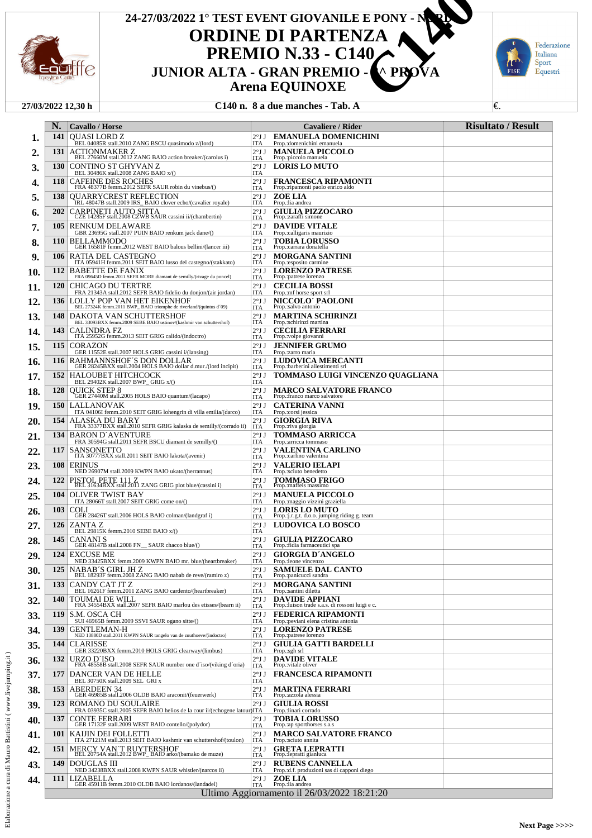

## **ORDINE DI PARTENZA PREMIO N.33 - C140<br>JUNIOR ALTA - GRAN PREMIO -Arena EQUINOXE 24-27/03/2022 1° TEST EVENT GIOVANILE E PONY - NORD JUNIOR ALTA - GRAN PREMIO - 3. PROVABLE PONTON ALTA - GRAN PREMIO - 3. PROVA**<br> **C140**<br> **C140 C140 C140 C140 C140 C140 C140 C140 C140 C140 C140 C140 C140 C140 C140 C140 C140 C140 C140**



#### **27/03/2022 12,30 h C140 n. 8 a due manches - Tab. A** €.

|            | N.         | <b>Cavallo</b> / Horse                                                                                                                                                          |                               | Cavaliere / Rider                                                             | <b>Risultato / Result</b> |
|------------|------------|---------------------------------------------------------------------------------------------------------------------------------------------------------------------------------|-------------------------------|-------------------------------------------------------------------------------|---------------------------|
| ı.         | 141        | <b>OUASI LORD Z</b>                                                                                                                                                             |                               | 2°J J EMANUELA DOMENICHINI                                                    |                           |
| 2.         | 131        | BEL 04085R stall.2010 ZANG BSCU quasimodo z/(lord)<br>ACTIONMAKER Z                                                                                                             | ITA<br>$2^{\circ}$ JJ         | Prop.: domenichini emanuela<br><b>MANUELA PICCOLO</b>                         |                           |
| 3.         | <b>130</b> | BEL 27660M stall.2012 ZANG BAIO action breaker/(carolus i)<br>CONTINO ST GHYVAN Z                                                                                               | ITA<br>$2^{\circ}$ J J        | Prop.:piccolo manuela<br><b>LORIS LO MUTO</b>                                 |                           |
| 4.         | 118        | BEL 30486K stall.2008 ZANG BAIO x/()<br><b>CAFEINE DES ROCHES</b>                                                                                                               | <b>ITA</b><br>$2^{\circ}$ J J | <b>FRANCESCA RIPAMONTI</b>                                                    |                           |
| 5.         | 138        | FRA 48377B femm.2012 SEFR SAUR robin du vinebus/()<br><b>OUARRYCREST REFLECTION</b>                                                                                             | ITA<br>$2^{\circ}$ J J        | Prop.: ripamonti paolo enrico aldo<br><b>ZOE LIA</b>                          |                           |
| 6.         | 202        | IRL 48047B stall.2009 IRS_BAIO clover echo/(cavalier royale)<br>CARPINETI AUTO SITTA                                                                                            | ITA<br>$2^{\circ}$ J J        | Prop.:lia andrea<br><b>GIULIA PIZZOCARO</b>                                   |                           |
| 7.         | 105        | CZE 14285F stall.2008 CZWB SAUR cassini ii/(chambertin)<br><b>RENKUM DELAWARE</b>                                                                                               | <b>ITA</b><br>$2^{\circ}$ J J | Prop.:zaraffi simone<br><b>DAVIDE VITALE</b>                                  |                           |
| 8.         | <b>110</b> | GBR 23695G stall.2007 PUIN BAIO renkum jack dane/()<br><b>BELLAMMODO</b>                                                                                                        | ITA<br>$2^{\circ}$ J J        | Prop.:calligaris maurizio<br><b>TOBIA LORUSSO</b>                             |                           |
| 9.         | 106        | GER 16581F femm.2012 WEST BAIO balous bellini/(lancer iii)<br>RATIA DEL CASTEGNO                                                                                                | ITA<br>$2^{\circ}$ J J        | Prop.: carrara donatella<br><b>MORGANA SANTINI</b>                            |                           |
| 10.        | 112        | ITA 05941H femm.2011 SEIT BAIO lusso del castegno/(stakkato)<br><b>BABETTE DE FANIX</b>                                                                                         | ITA<br>2°JJ                   | Prop.:esposito carmine<br><b>LORENZO PATRESE</b>                              |                           |
| 11.        | <b>120</b> | FRA 09645D femm.2011 SEFR MORE diamant de semilly/(rivage du poncel)<br>CHICAGO DU TERTRE                                                                                       | <b>ITA</b><br>2°JJ            | Prop.:patrese lorenzo<br><b>CECILIA BOSSI</b>                                 |                           |
| 12.        | 136        | FRA 21343A stall.2012 SEFR BAIO fidelio du donjon/(air jordan)<br>LOLLY POP VAN HET EIKENHOF                                                                                    | <b>ITA</b><br>2°JJ            | Prop.: mf horse sport srl<br><b>NICCOLO' PAOLONI</b>                          |                           |
| 13.        | 148        | BEL 27324K femm.2011 BWP_BAIO triomphe de riverland/(quintus d'09)<br>DAKOTA VAN SCHUTTERSHOF                                                                                   | ITA<br>$2^{\circ}$ J J        | Prop.:salvo antonio<br><b>MARTINA SCHIRINZI</b>                               |                           |
| 14.        | 143        | BEL 33093BXX femm.2009 SEBE BAIO ustinov/(kashmir van schuttershof)<br><b>CALINDRA FZ</b>                                                                                       | ITA<br>2°JJ                   | Prop.:schirinzi martina<br><b>CECILIA FERRARI</b>                             |                           |
| 15.        | 115        | ITA 25952G femm.2013 SEIT GRIG calido/(indoctro)<br><b>CORAZON</b>                                                                                                              | <b>ITA</b><br>2°JJ            | Prop.:volpe giovanni<br><b>JENNIFER GRUMO</b>                                 |                           |
| 16.        | 116        | GER 11552E stall.2007 HOLS GRIG cassini i/(lansing)<br>RAHMANNSHOF'S DON DOLLAR<br>GER 28245BXX stall.2004 HOLS BAIO dollar d.mur./(lord incipit)                               | ITA<br>$2^{\circ}$ J J        | Prop.:zarro maria<br>LUDOVICA MERCANTI                                        |                           |
| 17.        | 152        | HALOUBET HITCHCOCK                                                                                                                                                              | ITA<br>2°JJ                   | Prop.:barberini allestimenti srl<br>TOMMASO LUIGI VINCENZO QUAGLIANA          |                           |
| 18.        | 128        | BEL 29402K stall.2007 BWP_GRIG x/()<br><b>OUICK STEP 8</b>                                                                                                                      | ITA<br>2°JJ                   | <b>MARCO SALVATORE FRANCO</b>                                                 |                           |
| 19.        | <b>150</b> | GER 27440M stall.2005 HOLS BAIO quantum/(lacapo)<br>LALLANOVAK                                                                                                                  | <b>ITA</b><br>2°JJ            | Prop.:franco marco salvatore<br><b>CATERINA VANNI</b>                         |                           |
| 20.        | 154        | ITA 04106I femm.2010 SEIT GRIG lohengrin di villa emilia/(darco)                                                                                                                | ITA<br>2°JJ                   | Prop.:corsi jessica<br><b>GIORGIA RIVA</b>                                    |                           |
| 21.        | 134        | $\frac{\rm ALASKA\ DU\ BARY}{\rm FRA\ 33377BXX\  \, stall.2010\  \, SEFR\  \, GRIG\  \, kalaska\  \, de\  \, semilly/(corrado\  \, ii)}$<br><b>BARON D'AVENTURE</b>             | <b>ITA</b><br>$2^{\circ}$ J J | Prop.:riva giorgia<br><b>TOMMASO ARRICCA</b>                                  |                           |
| 22.        | 117        | FRA 30594G stall.2011 SEFR BSCU diamant de semilly/()<br><b>SANSONETTO</b>                                                                                                      | ITA<br>2°JJ                   | Prop.:arricca tommaso<br><b>VALENTINA CARLINO</b>                             |                           |
| 23.        | 108        | ITA 30777BXX stall.2011 SEIT BAIO lakota/(avenir)<br><b>ERINUS</b>                                                                                                              | <b>ITA</b><br>2°JJ            | Prop.:carlino valentina<br><b>VALERIO IELAPI</b>                              |                           |
| 24.        | 122        | NED 26907M stall.2009 KWPN BAIO ukato/(herrannus)                                                                                                                               | ITA<br>$2^{\circ}$ J J        | Prop.:sciuto benedetto<br><b>TOMMASO FRIGO</b>                                |                           |
| 25.        | 104        | $\begin{array}{ l l } \hline \text{PISTOL PETE 111 Z} \\ \hline \text{BEL 31634BXX stall.2011 ZANG GRIG plot blue/(cassini i)} \\\hline \end{array}$<br><b>OLIVER TWIST BAY</b> | ITA<br>$2^{\circ}$ J J        | Prop.:maffeis massimo<br><b>MANUELA PICCOLO</b>                               |                           |
| 26.        | 103        | ITA 28066T stall.2007 SEIT GRIG come on/()<br><b>COLI</b>                                                                                                                       | ITA<br>2°JJ                   | Prop.: maggio vizzini graziella<br><b>LORIS LO MUTO</b>                       |                           |
| 27.        | 126        | GER 28426T stall.2006 HOLS BAIO colman/(landgraf i)<br>ZANTA Z                                                                                                                  | ITA<br>$2^{\circ}$ J J        | Prop.: j.r.g.t. d.o.o. jumping riding g. team<br>LUDOVICA LO BOSCO            |                           |
| 28.        | 145        | BEL 29815K femm.2010 SEBE BAIO x/()<br>CANANI S                                                                                                                                 | ITA<br>$2^{\circ}$ J J        | <b>GIULIA PIZZOCARO</b>                                                       |                           |
| 29.        | 124        | GER 48147B stall.2008 FN_ SAUR chacco blue/()<br><b>EXCUSE ME</b>                                                                                                               | ITA<br>$2^{\circ}$ J J        | Prop.: fidia farmaceutici spa<br><b>GIORGIA D'ANGELO</b>                      |                           |
|            | <b>125</b> | NED 33425BXX femm.2009 KWPN BAIO mr. blue/(heartbreaker)<br> NABAB´S GIRL JH Z                                                                                                  | ITA<br>2°JJ                   | Prop.: leone vincenzo<br><b>SAMUELE DAL CANTO</b>                             |                           |
| 30.        | 133        | BEL 18293F femm.2008 ZANG BAIO nabab de reve/(ramiro z)<br>CANDY CAT JT Z                                                                                                       | ITA<br>$2^{\circ}$ J J        | Prop.:panicucci sandra<br><b>MORGANA SANTINI</b>                              |                           |
| 31.        | 140        | BEL 16261F femm.2011 ZANG BAIO cardento/(heartbreaker)<br><b>TOUMAI DE WILL</b>                                                                                                 | ITA<br>$2^{\circ}$ J J        | Prop.:santini diletta<br><b>DAVIDE APPIANI</b>                                |                           |
| 32.        | 119        | FRA 34554BXX stall.2007 SEFR BAIO marlou des etisses/(bearn ii)<br>S.M. OSCA CH                                                                                                 | <b>ITA</b><br>$2^{\circ}$ J J | Prop.: luison trade s.a.s. di rossoni luigi e c.<br><b>FEDERICA RIPAMONTI</b> |                           |
| 33.<br>34. | 139        | SUI 46965B femm.2009 SSVI SAUR ogano sitte/()<br><b>GENTLEMAN-H</b>                                                                                                             | ITA<br>$2^{\circ}$ J J        | Prop.: peviani elena cristina antonia<br><b>LORENZO PATRESE</b>               |                           |
| 35.        | 144        | NED 13880D stall.2011 KWPN SAUR tangelo van de zuuthoeve/(indoctro)<br><b>CLARISSE</b>                                                                                          | ITA<br>$2^{\circ}$ J J        | Prop.:patrese lorenzo<br><b>GIULIA GATTI BARDELLI</b>                         |                           |
| 36.        | 132        | GER 33220BXX femm.2010 HOLS GRIG clearway/(limbus)<br>URZO D'ISO                                                                                                                | ITA<br>$2^{\circ}$ J J        | Prop.:sgh srl<br><b>DAVIDE VITALE</b>                                         |                           |
| 37.        | 177        | FRA 48558B stall.2008 SEFR SAUR number one d'iso/(viking d'oria)<br>DANCER VAN DE HELLE                                                                                         | <b>ITA</b><br>$2^{\circ}$ J J | Prop.:vitale oliver<br><b>FRANCESCA RIPAMONTI</b>                             |                           |
| 38.        | 153        | BEL 30750K stall.2009 SEL GRI x<br><b>ABERDEEN 34</b>                                                                                                                           | ITA<br>$2^{\circ}$ J J        | <b>MARTINA FERRARI</b>                                                        |                           |
| 39.        | 123        | GER 46985B stall.2006 OLDB BAIO araconit/(feuerwerk)<br>ROMANO DU SOULAIRE                                                                                                      | ITA<br>$2^{\circ}$ J J        | Prop.:azzola alessia<br><b>GIULIA ROSSI</b>                                   |                           |
| 40.        | 137        | FRA 03935C stall.2005 SEFR BAIO helios de la cour ii/(echogene latour)ITA<br><b>CONTE FERRARI</b>                                                                               | 2°JJ                          | Prop.:linari corrado<br><b>TOBIA LORUSSO</b>                                  |                           |
| 41.        | 101        | GER 17132F stall.2009 WEST BAIO contello/(polydor)<br>KAIJIN DEI FOLLETTI                                                                                                       | ITA<br>$2^{\circ}$ J J        | Prop.:ap sporthorses s.a.s<br><b>MARCO SALVATORE FRANCO</b>                   |                           |
| 42.        | 151        | ITA 27121M stall.2013 SEIT BAIO kashmir van schuttershof/(toulon)                                                                                                               | ITA<br>$2^{\circ}$ J J        | Prop.:sciuto annita<br><b>GRETA LEPRATTI</b>                                  |                           |
| 43.        | 149        | MERCY VAN'T RUYTERSHOF<br>BEL 20754A stall.2012 BWP_BAIO arko/(bamako de muze)<br>DOUGLAS III                                                                                   | ITA<br>$2^{\circ}$ J J        | Prop.: lepratti gianluca<br><b>RUBENS CANNELLA</b>                            |                           |
| 44.        | 111        | NED 34238BXX stall.2008 KWPN SAUR whistler/(narcos ii)<br>LIZABELLA                                                                                                             | ITA<br>$2^{\circ}$ JJ         | Prop.:d.f. produzioni sas di capponi diego<br>ZOE LIA                         |                           |
|            |            | GER 45911B femm.2010 OLDB BAIO lordanos/(landadel)                                                                                                                              | <b>ITA</b>                    | Prop.:lia andrea<br>Ultimo Aggiornamento il 26/03/2022 18:21:20               |                           |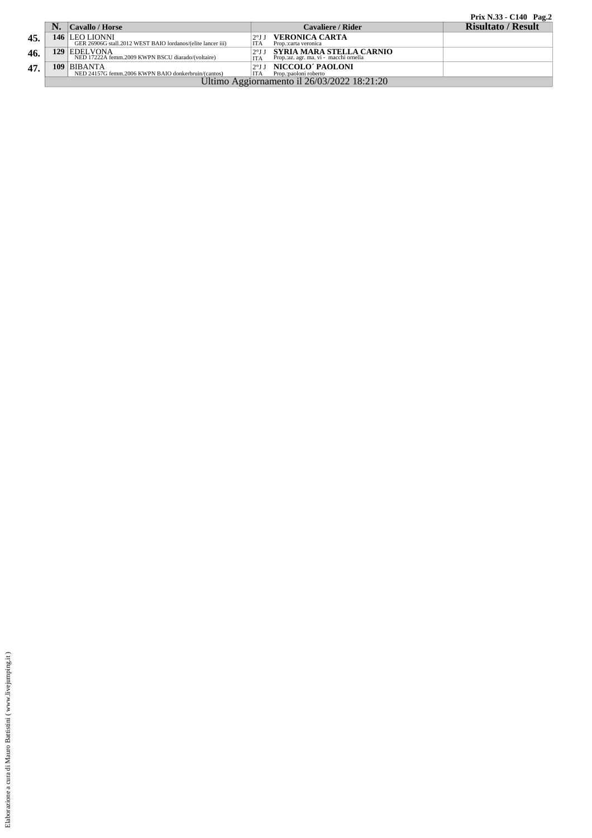|  |  | Prix N.33 - C140 Pag.2 |  |
|--|--|------------------------|--|
|  |  |                        |  |

|     | Cavallo / Horse                                                                 | <b>Cavaliere / Rider</b>                                            | <b>Risultato / Result</b> |
|-----|---------------------------------------------------------------------------------|---------------------------------------------------------------------|---------------------------|
| 45. | 146   LEO LIONNI<br>GER 26906G stall.2012 WEST BAIO lordanos/(elite lancer iii) | VERONICA CARTA<br><b>ITA</b><br>Prop.:carta veronica                |                           |
| 46. | 129 EDELVONA<br>NED 17222A femm.2009 KWPN BSCU diarado/(voltaire)               | SYRIA MARA STELLA CARNIO<br>Prop.: az. agr. ma. vi - macchi ornella |                           |
| 47. | 109 BIBANTA<br>NED 24157G femm.2006 KWPN BAIO donkerbruin/(cantos)              | NICCOLO' PAOLONI<br>Prop.:paoloni roberto<br>ITA                    |                           |
|     |                                                                                 | Ultimo Aggiornamento il 26/03/2022 18:21:20                         |                           |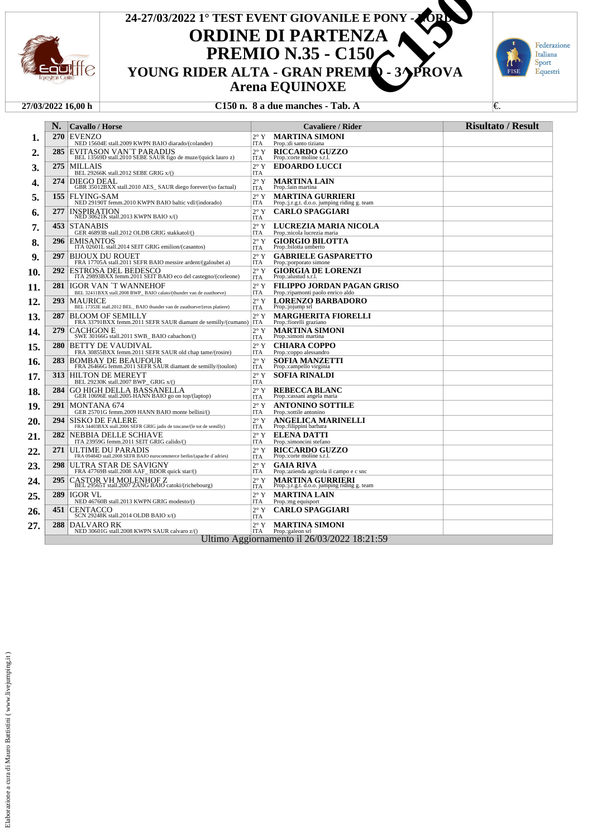

## **ORDINE DI PARTENZA PREMIO N.35 - C150<br>YOUNG RIDER ALTA - GRAN PREMIO - 3/ PROVA Arena EQUINOXE** 24-27/03/2022 1° TEST EVENT GIOVANILE E PONY - **NORD PARTENZA**<br> **YOUNG RIDER ALTA - GRAN PREMIQ - 3^ PROVA**<br> **C150**<br> **YOUNG RIDER ALTA - GRAN PREMIQ - 3^ PROVA**<br> **C150** n. 8 a due manches - Tab. A



#### **27/03/2022 16,00 h C150 n. 8 a due manches - Tab. A** €.

|     | N.  | <b>Cavallo / Horse</b>                                                                              |                             | Cavaliere / Rider                                                       | <b>Risultato / Result</b> |
|-----|-----|-----------------------------------------------------------------------------------------------------|-----------------------------|-------------------------------------------------------------------------|---------------------------|
| ı.  | 270 | <b>EVENZO</b><br>NED 15604E stall.2009 KWPN BAIO diarado/(colander)                                 | $2^{\circ}$ Y<br><b>ITA</b> | <b>MARTINA SIMONI</b><br>Prop.: di santo tiziana                        |                           |
| 2.  | 285 | EVITASON VAN'T PARADIJS<br>BEL 13569D stall.2010 SEBE SAUR figo de muze/(quick lauro z)             | $2^{\circ}$ Y<br><b>ITA</b> | <b>RICCARDO GUZZO</b><br>Prop.:corte moline s.r.l.                      |                           |
| 3.  | 275 | MILLAIS<br>BEL 29266K stall.2012 SEBE GRIG x/()                                                     | $2^{\circ}$ Y<br><b>ITA</b> | <b>EDOARDO LUCCI</b>                                                    |                           |
| 4.  | 274 | <b>DIEGO DEAL</b><br>GBR 35012BXX stall.2010 AES_SAUR diego forever/(so factual)                    | $2^{\circ}$ Y<br><b>ITA</b> | <b>MARTINA LAIN</b><br>Prop.:lain martina                               |                           |
| 5.  | 155 | FLYING-SAM<br>NED 29190T femm.2010 KWPN BAIO baltic vdl/(indorado)                                  | $2^{\circ}$ Y<br><b>ITA</b> | <b>MARTINA GURRIERI</b>                                                 |                           |
| 6.  | 277 | <i><b>INSPIRATION</b></i><br>NED 30621K stall.2013 KWPN BAIO x/()                                   | $2^{\circ}$ Y               | Prop.: j.r.g.t. d.o.o. jumping riding g. team<br><b>CARLO SPAGGIARI</b> |                           |
| 7.  | 453 | <b>STANABIS</b>                                                                                     | <b>ITA</b><br>$2^{\circ}$ Y | LUCREZIA MARIA NICOLA                                                   |                           |
| 8.  | 296 | GER 46893B stall.2012 OLDB GRIG stakkatol/()<br><b>EMISANTOS</b>                                    | <b>ITA</b><br>$2^{\circ}$ Y | Prop.:nicola lucrezia maria<br><b>GIORGIO BILOTTA</b>                   |                           |
| 9.  | 297 | ITA 02601L stall.2014 SEIT GRIG emilion/(casantos)<br><b>BIJOUX DU ROUET</b>                        | <b>ITA</b><br>$2^{\circ}$ Y | Prop.:bilotta umberto<br><b>GABRIELE GASPARETTO</b>                     |                           |
| 10. | 292 | FRA 17705A stall.2011 SEFR BAIO messire ardent/(galoubet a)<br>ESTROSA DEL BEDESCO                  | <b>ITA</b><br>$2^{\circ}$ Y | Prop.: porporato simone<br><b>GIORGIA DE LORENZI</b>                    |                           |
| 11. | 281 | ITA 29893BXX femm.2011 SEIT BAIO eco del castegno/(corleone)<br><b>IGOR VAN 'T WANNEHOF</b>         | <b>ITA</b><br>$2^{\circ}$ Y | Prop.: alustud s.r.l.<br>FILIPPO JORDAN PAGAN GRISO                     |                           |
| 12. | 293 | BEL 32411BXX stall.2008 BWP_BAIO calato/(thunder van de zuuthoeve)<br><b>MAURICE</b>                | <b>ITA</b><br>$2^{\circ}$ Y | Prop.: ripamonti paolo enrico aldo<br><b>LORENZO BARBADORO</b>          |                           |
| 13. | 287 | BEL 17353E stall.2012 BEL_ BAIO thunder van de zuuthoeve/(eros platiere)<br><b>BLOOM OF SEMILLY</b> | <b>ITA</b><br>$2^{\circ}$ Y | Prop.:jojump srl<br><b>MARGHERITA FIORELLI</b>                          |                           |
|     | 279 | FRA 33791BXX femm.2011 SEFR SAUR diamant de semilly/(cumano)<br><b>CACHGON E</b>                    | <b>ITA</b><br>$2^{\circ}$ Y | Prop.:fiorelli graziano<br><b>MARTINA SIMONI</b>                        |                           |
| 14. | 280 | SWE 30166G stall.2011 SWB_BAIO cabachon/()<br>BETTY DE VAUDIVAL                                     | <b>ITA</b><br>$2^{\circ}$ Y | Prop.:simoni martina<br><b>CHIARA COPPO</b>                             |                           |
| 15. |     | FRA 30855BXX femm.2011 SEFR SAUR old chap tame/(rosire)                                             | <b>ITA</b>                  | Prop.:coppo alessandro                                                  |                           |
| 16. | 283 | <b>BOMBAY DE BEAUFOUR</b><br>FRA 26466G femm.2011 SEFR SAUR diamant de semilly/(toulon)             | $2^{\circ}$ Y<br><b>ITA</b> | <b>SOFIA MANZETTI</b><br>Prop.:campello virginia                        |                           |
| 17. | 313 | <b>HILTON DE MEREYT</b><br>BEL 29230K stall.2007 BWP_GRIG x/()                                      | $2^{\circ}$ Y<br><b>ITA</b> | <b>SOFIA RINALDI</b>                                                    |                           |
| 18. | 284 | <b>GO HIGH DELLA BASSANELLA</b><br>GER 10696E stall.2005 HANN BAIO go on top/(laptop)               | $2^{\circ}$ Y<br><b>ITA</b> | <b>REBECCA BLANC</b><br>Prop.: cassani angela maria                     |                           |
| 19. | 291 | MONTANA 674<br>GER 25701G femm.2009 HANN BAIO monte bellini/()                                      | $2^{\circ}$ Y<br><b>ITA</b> | <b>ANTONINO SOTTILE</b><br>Prop.:sottile antonino                       |                           |
| 20. | 294 | <b>SISKO DE FALERE</b><br>FRA 34403BXX stall.2006 SEFR GRIG jadis de toscane/(le tot de semilly)    | $2^{\circ}$ Y<br><b>ITA</b> | <b>ANGELICA MARINELLI</b><br>Prop.: filippini barbara                   |                           |
| 21. | 282 | NEBBIA DELLE SCHIAVE<br>ITA 23959G femm.2011 SEIT GRIG calido/()                                    | $2^{\circ}$ Y<br><b>ITA</b> | <b>ELENA DATTI</b><br>Prop.:simoncini stefano                           |                           |
| 22. | 271 | ULTIME DU PARADIS<br>FRA 09484D stall.2008 SEFR BAIO eurocommerce berlin/(apache d'adries)          | $2^{\circ}$ Y<br><b>ITA</b> | <b>RICCARDO GUZZO</b><br>Prop.:corte moline s.r.l.                      |                           |
| 23. | 298 | ULTRA STAR DE SAVIGNY<br>FRA 47769B stall.2008 AAF BDOR quick star/()                               | $2^{\circ}$ Y<br><b>ITA</b> | <b>GAIA RIVA</b><br>Prop.: azienda agricola il campo e c snc            |                           |
| 24. | 295 | $\frac{\text{CASTOR VH MOLENHOF Z}}{\text{BEL 29565T stall.2007 ZANG BAIO catoki/(richebourg)}}$    | $2^{\circ}$ Y<br><b>ITA</b> | <b>MARTINA GURRIERI</b><br>Prop.:j.r.g.t. d.o.o. jumping riding g. team |                           |
| 25. | 289 | <b>IGOR VL</b><br>NED 46760B stall.2013 KWPN GRIG modesto/()                                        | $2^{\circ}$ Y<br><b>ITA</b> | <b>MARTINA LAIN</b><br>Prop.:mg equisport                               |                           |
| 26. | 451 | <b>CENTACCO</b><br>SCN 29248K stall.2014 OLDB BAIO x/()                                             | $2^{\circ}$ Y<br><b>ITA</b> | <b>CARLO SPAGGIARI</b>                                                  |                           |
| 27. | 288 | <b>DALVARO RK</b><br>NED 30601G stall.2008 KWPN SAUR calvaro z/()                                   | $2^{\circ}$ Y<br>ITA        | <b>MARTINA SIMONI</b><br>Prop.:galeon srl                               |                           |
|     |     |                                                                                                     |                             | Ultimo Aggiornamento il 26/03/2022 18:21:59                             |                           |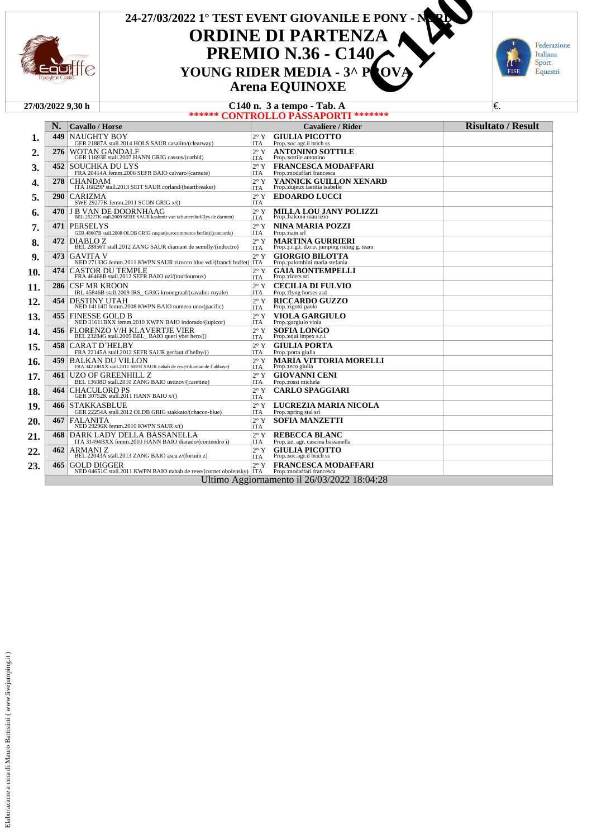

## **ORDINE DI PARTENZA PREMIO N.36 - C140**<br>YOUNG RIDER MEDIA - 3^ P OVA **Arena EQUINOXE** 24-27/03/2022 1° TEST EVENT GIOVANILE E PONY - N**OR YOUNG RIDER MEDIA - 3^ POVAN A CHARTENZA COUNG RIDER MEDIA - 3^ POVA<br>
CHARTENZA COUNG RIDER MEDIA - 3^ POVA<br>
C140 n. 3 a tempo - Tab. A**



|     |            | 27/03/2022 9.30 h      |                                                                                                                                                                                                                                                                             |                             | C140 n. 3 a tempo - Tab. A                                               | €.                        |
|-----|------------|------------------------|-----------------------------------------------------------------------------------------------------------------------------------------------------------------------------------------------------------------------------------------------------------------------------|-----------------------------|--------------------------------------------------------------------------|---------------------------|
|     |            |                        | ******                                                                                                                                                                                                                                                                      |                             | <b>CONTROLLO PASSAPORTI *******</b>                                      |                           |
|     | N.         | <b>Cavallo / Horse</b> |                                                                                                                                                                                                                                                                             |                             | Cavaliere / Rider                                                        | <b>Risultato / Result</b> |
| ı.  | 449        | <b>NAUGHTY BOY</b>     | GER 21887A stall.2014 HOLS SAUR casalito/(clearway)                                                                                                                                                                                                                         | $2^{\circ}$ Y<br><b>ITA</b> | <b>GIULIA PICOTTO</b><br>Prop.:soc.agr.il brich ss                       |                           |
| 2.  | 276        |                        | WOTAN GANDALF<br>GER 11693E stall.2007 HANN GRIG cassus/(carbid)                                                                                                                                                                                                            | $2^{\circ}$ Y<br><b>ITA</b> | <b>ANTONINO SOTTILE</b><br>Prop.:sottile antonino                        |                           |
| 3.  | 452        |                        | <b>SOUCHKA DU LYS</b><br>FRA 20414A femm.2006 SEFR BAIO calvaro/(carnute)                                                                                                                                                                                                   | $2^{\circ}$ Y<br><b>ITA</b> | <b>FRANCESCA MODAFFARI</b><br>Prop.: modaffari francesca                 |                           |
| 4.  | 278        | <b>CHANDAM</b>         | ITA 16829P stall.2013 SEIT SAUR corland/(heartbreaker)                                                                                                                                                                                                                      | $2^{\circ}$ Y<br><b>ITA</b> | YANNICK GUILLON XENARD<br>Prop.: dujeux laetitia isabelle                |                           |
| 5.  | <b>290</b> | CARIZMA                | SWE 29277K femm.2011 SCON GRIG x/()                                                                                                                                                                                                                                         | $2^{\circ}$ Y<br><b>ITA</b> | <b>EDOARDO LUCCI</b>                                                     |                           |
| 6.  | 470        |                        | $\label{eq:JB} \begin{array}{ll} \textbf{J}\ \textbf{B}\ \textbf{VAN}\ \textbf{DE}\ \textbf{DOORNHAAG}\\ \textbf{BEL 25227K}\ \text{stall.2009}\ \textbf{SEBE}\ \textbf{SAUR}\ \text{kashmir}\ \text{van}\ \text{schuttershof/(lys}\ \text{de}\ \text{darmen}) \end{array}$ | $2^{\circ}$ Y<br><b>ITA</b> | MILLA LOU JANY POLIZZI<br>Prop.:balconi maurizio                         |                           |
| 7.  | 471        | <b>PERSELYS</b>        | GER 48607B stall.2008 OLDB GRIG caspar(eurocommerce berlin)/(concorde)                                                                                                                                                                                                      | $2^{\circ}$ Y<br><b>ITA</b> | NINA MARIA POZZI<br>Prop.:nam srl                                        |                           |
| 8.  | 472        | DIABLO Z               | BEL 28856T stall.2012 ZANG SAUR diamant de semilly/(indoctro)                                                                                                                                                                                                               | $2^{\circ}$ Y<br><b>ITA</b> | <b>MARTINA GURRIERI</b><br>Prop.: j.r.g.t. d.o.o. jumping riding g. team |                           |
| 9.  | 473        | <b>GAVITA V</b>        | NED 27133G femm.2011 KWPN SAUR zirocco blue vdl/(franch buffet) ITA                                                                                                                                                                                                         | $2^{\circ}$ Y               | <b>GIORGIO BILOTTA</b><br>Prop.:palombini maria stefania                 |                           |
| 10. | 474        |                        | CASTOR DU TEMPLE<br>FRA 46468B stall.2012 SEFR BAIO uzi/(tourlouroux)                                                                                                                                                                                                       | $2^{\circ}$ Y<br><b>ITA</b> | <b>GAIA BONTEMPELLI</b><br>Prop.:riders srl                              |                           |
| 11. | 286        | CSF MR KROON           | IRL 45846B stall.2009 IRS GRIG kroongraaf/(cavalier royale)                                                                                                                                                                                                                 | $2^{\circ}$ Y<br><b>ITA</b> | <b>CECILIA DI FULVIO</b><br>Prop.: flyng horses asd                      |                           |
| 12. | 454        | <b>DESTINY UTAH</b>    | NED 14114D femm.2008 KWPN BAIO numero uno/(pacific)                                                                                                                                                                                                                         | $2^{\circ}$ Y<br><b>ITA</b> | <b>RICCARDO GUZZO</b><br>Prop.:rigotti paolo                             |                           |
| 13. | 455        |                        | <b>FINESSE GOLD B</b><br>NED 31611BXX femm.2010 KWPN BAIO indorado/(lupicor)                                                                                                                                                                                                | $2^{\circ}$ Y<br><b>ITA</b> | <b>VIOLA GARGIULO</b><br>Prop.: gargiulo viola                           |                           |
| 14. | 456        |                        | FLORENZO V/H KLAVERTJE VIER<br>BEL 23284G stall.2005 BEL_BAIO querl ybet hero/()                                                                                                                                                                                            | $2^{\circ}$ Y<br><b>ITA</b> | <b>SOFIA LONGO</b><br>Prop.: equi impex s.r.l.                           |                           |
| 15. | 458        |                        | <b>CARAT D'HELBY</b><br>FRA 22145A stall.2012 SEFR SAUR gerfaut d'helby/()                                                                                                                                                                                                  | $2^{\circ}$ Y<br><b>ITA</b> | <b>GIULIA PORTA</b><br>Prop.:porta giulia                                |                           |
| 16. | 459        |                        | <b>BALKAN DU VILLON</b><br>FRA 34210BXX stall.2011 SEFR SAUR nabab de reve/(diaman de l'abbaye)                                                                                                                                                                             | $2^{\circ}$ Y<br><b>ITA</b> | <b>MARIA VITTORIA MORELLI</b><br>Prop.:teco giulia                       |                           |
| 17. | 461        |                        | UZO OF GREENHILL Z<br>BEL 13608D stall.2010 ZANG BAIO ustinov/(caretino)                                                                                                                                                                                                    | $2^{\circ}$ Y<br><b>ITA</b> | <b>GIOVANNI CENI</b><br>Prop.: rossi michela                             |                           |
| 18. | 464        |                        | CHACULORD PS<br>GER 30752K stall.2011 HANN BAIO x/()                                                                                                                                                                                                                        | $2^{\circ}$ Y<br><b>ITA</b> | <b>CARLO SPAGGIARI</b>                                                   |                           |
| 19. | 466        | <b>STAKKASBLUE</b>     | GER 22254A stall.2012 OLDB GRIG stakkato/(chacco-blue)                                                                                                                                                                                                                      | $2^{\circ}$ Y<br><b>ITA</b> | LUCREZIA MARIA NICOLA<br>Prop.:spring stal srl                           |                           |
| 20. | 467        | <b>FALANITA</b>        | NED 29296K femm.2010 KWPN SAUR x/()                                                                                                                                                                                                                                         | $2^{\circ}$ Y<br><b>ITA</b> | <b>SOFIA MANZETTI</b>                                                    |                           |
| 21. | 468        |                        | DARK LADY DELLA BASSANELLA<br>ITA 31494BXX femm.2010 HANN BAIO diarado/(contendro i)                                                                                                                                                                                        | $2^{\circ}$ Y<br><b>ITA</b> | <b>REBECCA BLANC</b><br>Prop.:az. agr. cascina bassanella                |                           |
| 22. | 462        |                        | $\begin{array}{c} \text{ARMANI Z} \\ \text{BEL 22043A stall.2013 ZANG BAIO asca z/(fortuin z)} \end{array}$                                                                                                                                                                 | $2^{\circ}$ Y<br><b>ITA</b> | <b>GIULIA PICOTTO</b><br>Prop.:soc.agr.il brich ss                       |                           |
| 23. | 465        | <b>GOLD DIGGER</b>     | NED 04651C stall.2011 KWPN BAIO nabab de reve/(cornet obolensky)   ITA                                                                                                                                                                                                      | $2^{\circ}$ Y               | <b>FRANCESCA MODAFFARI</b><br>Prop.:modaffari francesca                  |                           |
|     |            |                        |                                                                                                                                                                                                                                                                             |                             | Ultimo Aggiornamento il 26/03/2022 18:04:28                              |                           |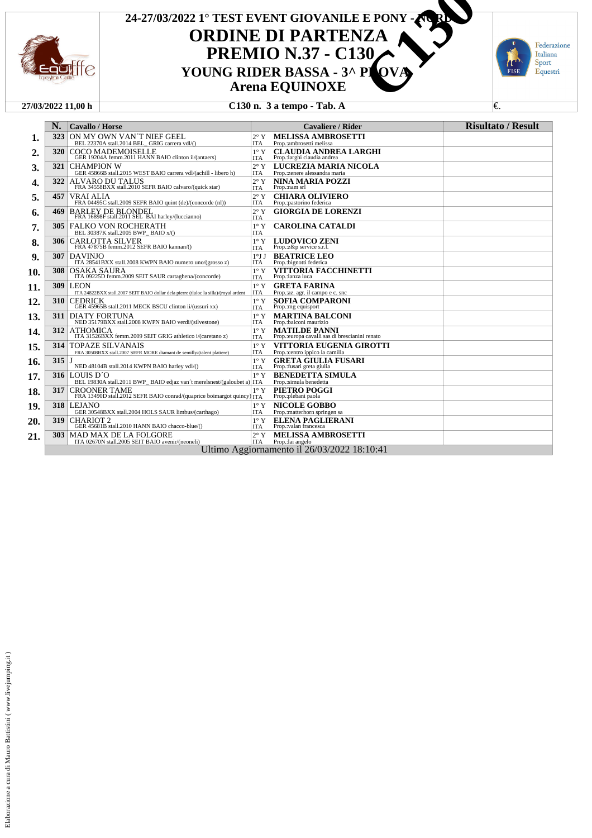

## **ORDINE DI PARTENZA PREMIO N.37 - C130**<br>YOUNG RIDER BASSA - 3^ PLOVA **Arena EQUINOXE 24-27/03/2022 1° TEST EVENT GIOVANILE E PONY - NORD YOUNG RIDER BASSA - 3^ PLANTER CHARGE CONSERVANT CONSUMER BASSA - 3^ PLANTER BASSA - 3^ PLANTER CHARGE CHARGE CHARGE CHARGE CHARGE CHARGE CHARGE CHARGE CHARGE CHARGE CHARGE CHARGE CHARGE CHARGE CHARGE CHARGE CHARGE CHARGE**



#### **27/03/2022 11,00 h C130 n. 3 a tempo - Tab. A** €.

|     | N.         | <b>Cavallo / Horse</b>                                                                                                                                                            |                             | <b>Cavaliere / Rider</b>                                               | <b>Risultato / Result</b> |
|-----|------------|-----------------------------------------------------------------------------------------------------------------------------------------------------------------------------------|-----------------------------|------------------------------------------------------------------------|---------------------------|
| 1.  | 323        | ON MY OWN VAN'T NIEF GEEL<br>BEL 22370A stall.2014 BEL GRIG carrera vdl/()                                                                                                        | $2^{\circ}$ Y<br><b>ITA</b> | <b>MELISSA AMBROSETTI</b><br>Prop.:ambrosetti melissa                  |                           |
| 2.  | 320        | <b>COCO MADEMOISELLE</b><br>GER 19204A femm.2011 HANN BAIO clinton ii/(antaers)                                                                                                   | $1^\circ Y$<br><b>ITA</b>   | <b>CLAUDIA ANDREA LARGHI</b><br>Prop.:larghi claudia andrea            |                           |
| 3.  | 321        | <b>CHAMPION W</b><br>GER 45866B stall.2015 WEST BAIO carrera vdl/(achill - libero h)                                                                                              | $2^{\circ}$ Y<br><b>ITA</b> | LUCREZIA MARIA NICOLA<br>Prop.:zenere alessandra maria                 |                           |
| 4.  | 322        | ALVARO DU TALUS<br>FRA 34558BXX stall.2010 SEFR BAIO calvaro/(quick star)                                                                                                         | $2^{\circ}$ Y<br><b>ITA</b> | <b>NINA MARIA POZZI</b><br>Prop.:nam srl                               |                           |
| 5.  | 457        | <b>VRAI ALIA</b><br>FRA 04495C stall.2009 SEFR BAIO quint (de)/(concorde (nl))                                                                                                    | $2^{\circ}$ Y<br><b>ITA</b> | <b>CHIARA OLIVIERO</b><br>Prop.:pastorino federica                     |                           |
| 6.  | 469        | BARLEY DE BLONDEL<br>FRA 16898F stall.2011 SEL BAI harley/(luccianno)                                                                                                             | $2^{\circ}$ Y<br><b>ITA</b> | <b>GIORGIA DE LORENZI</b>                                              |                           |
| 7.  | <b>305</b> | <b>FALKO VON ROCHERATH</b><br>BEL 30387K stall.2005 BWP BAIO x/()                                                                                                                 | $1^\circ$ Y<br><b>ITA</b>   | <b>CAROLINA CATALDI</b>                                                |                           |
| 8.  | 306        | CARLOTTA SILVER<br>FRA 47875B femm.2012 SEFR BAIO kannan/()                                                                                                                       | $1^\circ Y$<br><b>ITA</b>   | <b>LUDOVICO ZENI</b><br>Prop.:z&p service s.r.l.                       |                           |
| 9.  | 307        | <b>DAVINJO</b><br>ITA 28541BXX stall.2008 KWPN BAIO numero uno/(grosso z)                                                                                                         | 1°JJ<br><b>ITA</b>          | <b>BEATRICE LEO</b><br>Prop.:bignotti federica                         |                           |
| 10. | 308        | $\label{eq:OSAKA} \begin{array}{c} \text{OSAKA} \text{ SAURA} \\ \text{ITA } 09225 \text{D} \text{ femm.2009} \text{ SEIT SAUR} \text{ cartaghena}/\text{(concorde)} \end{array}$ | $1^\circ Y$<br><b>ITA</b>   | <b>VITTORIA FACCHINETTI</b><br>Prop.:lanza luca                        |                           |
| 11. | 309        | <b>LEON</b><br>ITA 24822BXX stall.2007 SEIT BAIO dollar dela pierre (tlaloc la silla)/(royal ardent                                                                               | $1^{\circ}$ Y<br><b>ITA</b> | <b>GRETA FARINA</b><br>Prop.:az. agr. il campo e c. snc                |                           |
| 12. | 310        | <b>CEDRICK</b><br>GER 45965B stall.2011 MECK BSCU clinton ii/(ussuri xx)                                                                                                          | $1^\circ$ Y<br><b>ITA</b>   | <b>SOFIA COMPARONI</b><br>Prop.:mg equisport                           |                           |
| 13. | 311        | <b>DIATY FORTUNA</b><br>NED 35179BXX stall.2008 KWPN BAIO verdi/(silvestone)                                                                                                      | $1^{\circ} Y$<br><b>ITA</b> | <b>MARTINA BALCONI</b><br>Prop.:balconi maurizio                       |                           |
| 14. | 312        | ATHOMICA<br>ITA 31526BXX femm.2009 SEIT GRIG athletico i/(caretano z)                                                                                                             | $1^{\circ}$ Y<br><b>ITA</b> | <b>MATILDE PANNI</b><br>Prop.:europa cavalli sas di brescianini renato |                           |
| 15. | 314        | <b>TOPAZE SILVANAIS</b><br>FRA 30508BXX stall.2007 SEFR MORE diamant de semilly/(talent platiere)                                                                                 | $1^\circ Y$<br><b>ITA</b>   | VITTORIA EUGENIA GIROTTI<br>Prop.:centro ippico la camilla             |                           |
| 16. | 315        | NED 48104B stall.2014 KWPN BAIO harley vdl/()                                                                                                                                     | $1^\circ Y$<br><b>ITA</b>   | <b>GRETA GIULIA FUSARI</b><br>Prop.:fusari greta giulia                |                           |
| 17. | 316        | LOUIS D'O<br>BEL 19830A stall.2011 BWP BAIO edjaz van't merelsnest/(galoubet a) ITA                                                                                               | $1^{\circ}$ Y               | <b>BENEDETTA SIMULA</b><br>Prop.:simula benedetta                      |                           |
| 18. | 317        | <b>CROONER TAME</b><br>FRA 13490D stall.2012 SEFR BAIO conrad/(quaprice boimargot quincy)                                                                                         | $1^{\circ}$ Y<br><b>ITA</b> | PIETRO POGGI<br>Prop.:plebani paola                                    |                           |
| 19. | 318        | <b>LEJANO</b><br>GER 30548BXX stall.2004 HOLS SAUR limbus/(carthago)                                                                                                              | $1^{\circ}$ Y<br><b>ITA</b> | <b>NICOLE GOBBO</b><br>Prop.:matterhorn springen sa                    |                           |
| 20. | 319        | $\begin{array}{c} \textbf{CHARIOT 2}\\ \textbf{GER 45681B stall.2010 HANN BAIO chacco-blue/()} \end{array}$                                                                       | $1^{\circ}$ Y<br><b>ITA</b> | <b>ELENA PAGLIERANI</b><br>Prop.:valan francesca                       |                           |
| 21. | 303        | <b>MAD MAX DE LA FOLGORE</b><br>ITA 02670N stall.2005 SEIT BAIO avenir/(neoneli)                                                                                                  | $2^{\circ}$ Y<br><b>ITA</b> | <b>MELISSA AMBROSETTI</b><br>Prop.:lai angelo                          |                           |
|     |            |                                                                                                                                                                                   |                             | Ultimo Aggiornamento il 26/03/2022 18:10:41                            |                           |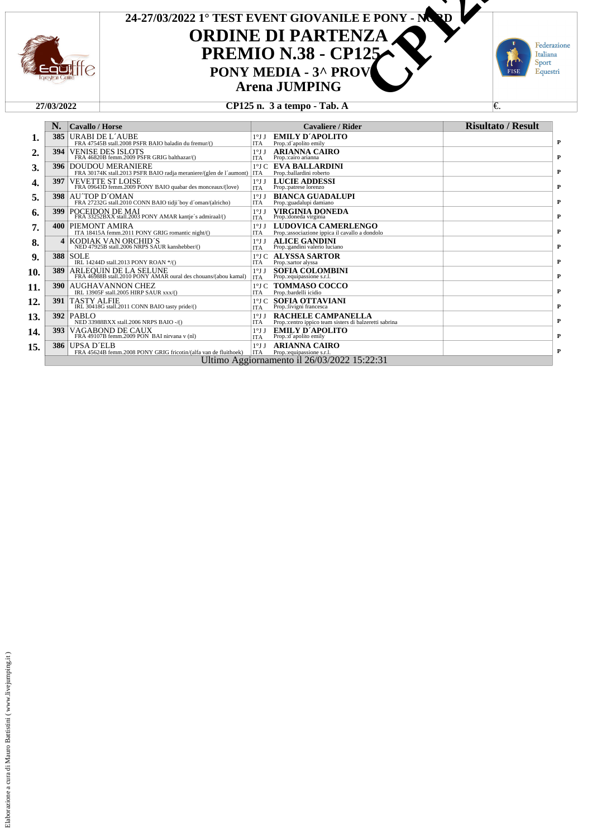

## **ORDINE DI PARTENZA PREMIO N.38 - CP125 Arena JUMPING 24-27/03/2022 1° TEST EVENT GIOVANILE E PONY - NORD** TEST EVENT GIOVANILE E PONY - M<sup>O</sup>P<br> **PONY MEDIA - 3^ PROV**<br>
Arena JUMPING<br>
CP125 n. 3 a tempo - Tab. A



### **27/03/2022 CP125 n. 3 a tempo - Tab. A ∈**

|     | N.         | <b>Cavallo / Horse</b>                                                                              |                               | Cavaliere / Rider                                                                   | <b>Risultato / Result</b> |
|-----|------------|-----------------------------------------------------------------------------------------------------|-------------------------------|-------------------------------------------------------------------------------------|---------------------------|
| 1.  | 385        | URABI DE L'AUBE<br>FRA 47545B stall.2008 PSFR BAIO baladin du fremur/()                             | $1^{\circ}$ J J<br><b>ITA</b> | EMILY D'APOLITO<br>Prop.:d'apolito emily                                            |                           |
| 2.  | 394        | <b>VENISE DES ISLOTS</b><br>FRA 46820B femm.2009 PSFR GRIG balthazar/()                             | $1^{\circ}$ J J<br><b>ITA</b> | <b>ARIANNA CAIRO</b><br>Prop.:cairo arianna                                         |                           |
| 3.  | 396        | <b>DOUDOU MERANIERE</b><br>FRA 30174K stall.2013 PSFR BAIO radja meraniere/(glen de l'aumont)   ITA |                               | <b>1°J C EVA BALLARDINI</b><br>Prop.:ballardini roberto                             |                           |
| 4.  | 397        | <b>VEVETTE ST LOISE</b><br>FRA 09643D femm.2009 PONY BAIO quabar des monceaux/(love)                | $1^{\circ}$ J J<br><b>ITA</b> | <b>LUCIE ADDESSI</b><br>Prop.:patrese lorenzo                                       |                           |
|     | 398        | AU TOP D'OMAN<br>FRA 27232G stall.2010 CONN BAIO tidii 'boy d'oman/(alricho)                        | 1°J<br><b>ITA</b>             | <b>BIANCA GUADALUPI</b><br>Prop.: guadalupi damiano                                 |                           |
| 6.  | 399        | POCEIDON DE MAI<br>FRA 33252BXX stall.2003 PONY AMAR kantje's admiraal/()                           | $1^{\circ}$ J J<br><b>ITA</b> | VIRGINIA DONEDA<br>Prop.: doneda virginia                                           |                           |
|     |            | <b>400   PIEMONT AMIRA</b><br>ITA 18415A femm.2011 PONY GRIG romantic night/()                      | 1°J<br><b>ITA</b>             | LUDOVICA CAMERLENGO<br>Prop.:associazione ippica il cavallo a dondolo               |                           |
|     | 4          | KODIAK VAN ORCHID'S<br>NED 47925B stall.2006 NRPS SAUR kanshebber/()                                | $1^{\circ}$ J J<br><b>ITA</b> | <b>ALICE GANDINI</b><br>Prop.:gandini valerio luciano                               |                           |
|     |            | <b>388 SOLE</b><br>IRL 14244D stall.2013 PONY ROAN */()                                             | <b>ITA</b>                    | <b>1°J C ALYSSA SARTOR</b><br>Prop.:sartor alyssa                                   |                           |
|     | 389        | ARLEQUIN DE LA SELUNE<br>FRA 46988B stall.2010 PONY AMAR oural des chouans/(abou kamal)             | $1^{\circ}$ J J<br><b>ITA</b> | <b>SOFIA COLOMBINI</b><br>Prop.:equipassione s.r.l.                                 |                           |
| 11. | <b>390</b> | <b>AUGHAVANNON CHEZ</b><br>IRL 13905F stall.2005 HIRP SAUR xxx/()                                   | <b>ITA</b>                    | <b>1ºLC TOMMASO COCCO</b><br>Prop.:bardelli icidio                                  |                           |
| 12. | 391        | <b>TASTY ALFIE</b><br>IRL 30418G stall.2011 CONN BAIO tasty pride/()                                | $1^{\circ}$ J C<br><b>ITA</b> | <b>SOFIA OTTAVIANI</b><br>Prop.:livigni francesca                                   |                           |
| 13. |            | <b>392 PABLO</b><br>NED 33988BXX stall.2006 NRPS BAIO -/()                                          | 1°J<br><b>ITA</b>             | <b>RACHELE CAMPANELLA</b><br>Prop.:centro ippico team sisters di balzeretti sabrina |                           |
| 14. | 393        | VAGABOND DE CAUX<br>FRA 49107B femm.2009 PON BAI nirvana v (nl)                                     | $1^{\circ}$ J J<br><b>ITA</b> | <b>EMILY D'APOLITO</b><br>Prop.:d'apolito emily                                     |                           |
| 15. | 386        | UPSA D'ELB<br>FRA 45624B femm.2008 PONY GRIG fricotin/(alfa van de fluithoek)                       | $1^{\circ}$ J J<br><b>ITA</b> | <b>ARIANNA CAIRO</b><br>Prop.:equipassione s.r.l.                                   |                           |
|     |            |                                                                                                     |                               | Ultimo Aggiornamento il 26/03/2022 15:22:31                                         |                           |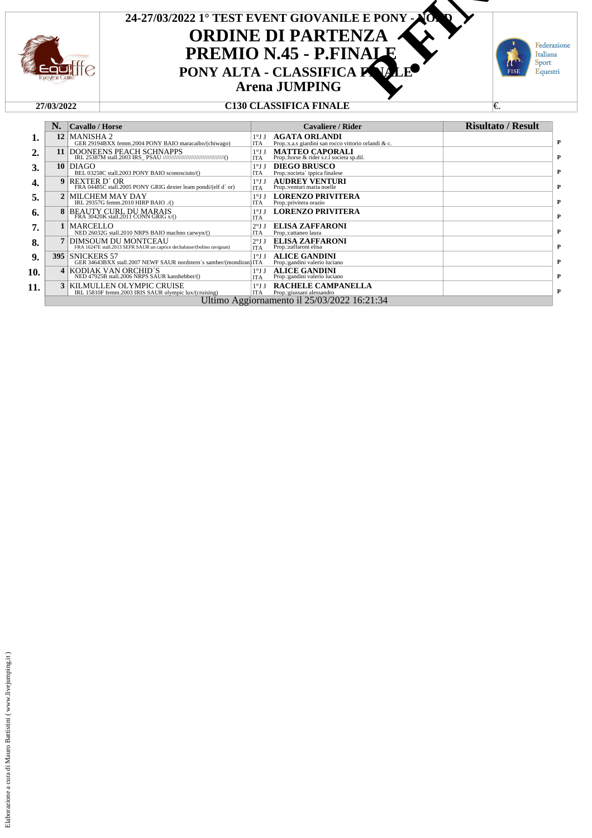



|     | N. | Cavallo / Horse                                                                                |                               | <b>Cavaliere / Rider</b>                                                     | <b>Risultato / Result</b> |
|-----|----|------------------------------------------------------------------------------------------------|-------------------------------|------------------------------------------------------------------------------|---------------------------|
| 1.  |    | 12 MANISHA 2<br>GER 29194BXX femm.2004 PONY BAIO maracaibo/(chiwago)                           | $1^{\circ}$ J J<br><b>ITA</b> | <b>AGATA ORLANDI</b><br>Prop.:s.a.s giardini san rocco vittorio orlandi & c. |                           |
| 2.  | 11 |                                                                                                | $1^{\circ}$ J J<br><b>ITA</b> | <b>MATTEO CAPORALI</b><br>Prop.:horse & rider s.r.l societa sp.dil.          |                           |
| 3.  |    | $10$ DIAGO<br>BEL 03258C stall.2003 PONY BAIO sconosciuto/()                                   | $1^{\circ}$ J J<br><b>ITA</b> | <b>DIEGO BRUSCO</b><br>Prop.:societa' ippica finalese                        |                           |
| 4.  |    | 9 REXTER D'OR<br>FRA 04485C stall.2005 PONY GRIG dexter learn pondi/(elf d'or)                 | $1^{\circ}$ J J<br><b>ITA</b> | <b>AUDREY VENTURI</b><br>Prop.: venturi maria noelle                         |                           |
| 5.  |    | 2 MILCHEM MAY DAY<br>IRL 29357G femm.2010 HIRP BAIO ./()                                       | $1^{\circ}$ J J<br><b>ITA</b> | <b>LORENZO PRIVITERA</b><br>Prop.:privitera orazio                           |                           |
| 6.  |    | 8 BEAUTY CURL DU MARAIS<br>FRA 30420K stall.2011 CONN GRIG x/()                                | $1^{\circ}$ J J<br><b>ITA</b> | <b>LORENZO PRIVITERA</b>                                                     |                           |
| 7.  |    | <b>MARCELLO</b><br>NED 26032G stall.2010 NRPS BAIO machno carwyn/()                            | $2°J$ J<br><b>ITA</b>         | <b>ELISA ZAFFARONI</b><br>Prop.:cattaneo laura                               |                           |
| 8.  |    | DIMSOUM DU MONTCEAU<br>FRA 16247E stall.2013 SEFR SAUR un caprice dechalusse/(bolino ravignan) | 2°JJ<br><b>ITA</b>            | <b>ELISA ZAFFARONI</b><br>Prop.:zaffaroni elisa                              |                           |
| 9.  |    | <b>395 SNICKERS 57</b><br>GER 34643BXX stall.2007 NEWF SAUR nordstern's samber/(mondiran) ITA  | $1^{\circ}$ J J               | <b>ALICE GANDINI</b><br>Prop.: gandini valerio luciano                       |                           |
| 10. |    | 4 KODIAK VAN ORCHID'S<br>NED 47925B stall.2006 NRPS SAUR kanshebber/()                         | $1^{\circ}$ J J<br><b>ITA</b> | <b>ALICE GANDINI</b><br>Prop.:gandini valerio luciano                        |                           |
| 11. |    | <b>3 KILMULLEN OLYMPIC CRUISE</b><br>IRL 15810F femm.2003 IRIS SAUR olympic lux/(cruising)     | $1^{\circ}$ J J<br><b>ITA</b> | <b>RACHELE CAMPANELLA</b><br>Prop.:giussani alessandro                       |                           |
|     |    |                                                                                                |                               | Ultimo Aggiornamento il 25/03/2022 16:21:34                                  |                           |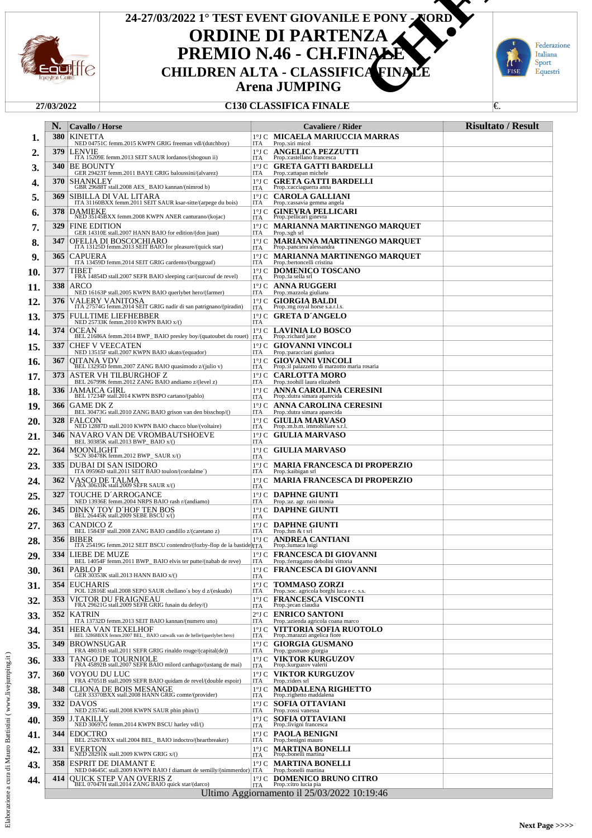

# **ORDINE DI PARTENZA** PREMIO N.46 - CH.FINALE **Arena JUMPING 24-27/03/2022 1° TEST EVENT GIOVANILE E PONY - NORD CHILDREN ALTA - CLASSIFICA FINALE** E PONY NORD<br> **ZA VALLE**<br>
CA FINALE<br>
CA FINALE<br>
C.



|     | N.                                          | Cavallo / Horse                                                                                                                                   |                        | Cavaliere / Rider                                                           | <b>Risultato / Result</b> |  |  |
|-----|---------------------------------------------|---------------------------------------------------------------------------------------------------------------------------------------------------|------------------------|-----------------------------------------------------------------------------|---------------------------|--|--|
| 1.  | <b>380</b>                                  | <b>KINETTA</b>                                                                                                                                    |                        | <b>1°J C- MICAELA MARIUCCIA MARRAS</b>                                      |                           |  |  |
| 2.  | 379                                         | NED 04751C femm.2015 KWPN GRIG freeman vdl/(dutchboy)<br><b>LENVIE</b><br>ITA 15209E femm.2013 SEIT SAUR lordanos/(shogoun ii)                    | ITA                    | Prop.:siri micol<br>1°J C ANGELICA PEZZUTTI                                 |                           |  |  |
| 3.  | 340                                         | <b>BE BOUNTY</b>                                                                                                                                  | ITA                    | Prop.:castellano francesca<br>1°J C- <b>GRETA GATTI BARDELLI</b>            |                           |  |  |
| 4.  | 370                                         | GER 29423T femm.2011 BAYE GRIG baloussini/(alvarez)<br>SHANKLEY                                                                                   | ITA                    | Prop.:cattapan michele<br>1°J C- <b>GRETA GATTI BARDELLI</b>                |                           |  |  |
| 5.  | 369                                         | GBR 29688T stall.2008 AES_BAIO kannan/(nimrod b)<br>SIBILLA DI VAL LITARA                                                                         | ITA                    | Prop.: cacciaguerra anna<br>1ºJ C CAROLA GALLIANI                           |                           |  |  |
| 6.  | 378                                         | ITA 31160BXX femm.2011 SEIT SAUR ksar-sitte/(arpege du bois)<br><b>DAMIEKE</b>                                                                    | ITA                    | Prop.:cassavia gemma angela<br>1°J C GINEVRA PELLICARI                      |                           |  |  |
| 7.  | 329                                         | NED 35145BXX femm.2008 KWPN ANER canturano/(kojac)<br><b>FINE EDITION</b>                                                                         | ITA                    | Prop.:pellicari ginevra<br>1°J C MARIANNA MARTINENGO MAROUET                |                           |  |  |
| 8.  | 347                                         | GER 14310E stall.2007 HANN BAIO for edition/(don juan)<br>OFELIA DI BOSCOCHIARO<br>ITA 13125D femm.2013 SEIT BAIO for pleasure/(quick star)       | ITA                    | Prop.:sgh srl<br>1°J C-MARIANNA MARTINENGO MARQUET                          |                           |  |  |
| 9.  | 365                                         | <b>CAPUERA</b>                                                                                                                                    | ITA                    | Prop.: panciera alessandra<br>1°J C MARIANNA MARTINENGO MARQUET             |                           |  |  |
| 10. | 377                                         | ITA 13459D femm.2014 SEIT GRIG cardento/(burggraaf)<br>TIBET                                                                                      | ľГА                    | Prop.:bertoncelli cristina<br>1°J C DOMENICO TOSCANO                        |                           |  |  |
| 11. | 338                                         | FRA 14854D stall.2007 SEFR BAIO sleeping car/(surcouf de revel)<br>ARCO                                                                           | ITA                    | Prop.:la sella srl<br>1°J C ANNA RUGGERI                                    |                           |  |  |
| 12. | 376                                         | NED 16163P stall.2005 KWPN BAIO querlybet hero/(farmer)<br>VALERY VANITOSA<br>ITA 27574G femm.2014 SEIT GRIG nadir di san patrignano/(piradin)    | ľГА                    | Prop.:mazzola giuliana<br>1°J C- <b>GIORGIA BALDI</b>                       |                           |  |  |
| 13. | 375                                         | <b>FULLTIME LIEFHEBBER</b>                                                                                                                        | ITA                    | Prop.: mg royal horse s.a.r.l.s.<br>1°J C GRETA D'ANGELO                    |                           |  |  |
| 14. | 374                                         | NED 25733K femm.2010 KWPN BAIO x/()<br><b>OCEAN</b>                                                                                               | ITA                    | 1°J C LAVINIA LO BOSCO                                                      |                           |  |  |
| 15. | 337                                         | BEL 21686A femm.2014 BWP_BAIO presley boy/(quatoubet du rouet)<br><b>CHEF V VEECATEN</b>                                                          | <b>ITA</b>             | Prop.:richard jane<br>1°J C- <b>GIOVANNI VINCOLI</b>                        |                           |  |  |
| 16. | 367                                         | NED 13515F stall.2007 KWPN BAIO ukato/(equador)<br>OITANA VDV                                                                                     | ITA                    | Prop.:paracciani gianluca<br>1°J C-GIOVANNI VINCOLI                         |                           |  |  |
| 17. | 373                                         | BEL 13295D femm.2007 ZANG BAIO quasimodo z/(julio v)<br>ASTER VH TILBURGHOF Z                                                                     | ITA                    | Prop.:il palazzetto di marzotto maria rosaria<br><b>1°J C CARLOTTA MORO</b> |                           |  |  |
| 18. | 336                                         | BEL 26799K femm.2012 ZANG BAIO andiamo z/(level z)<br>JAMAICA GIRL<br>BEL 17234P stall.2014 KWPN BSPO cartano/(pablo)                             | ľГА                    | Prop.:toohill laura elizabeth<br>1°J C-ANNA CAROLINA CERESINI               |                           |  |  |
| 19. | 366                                         | GAME DK Z                                                                                                                                         | ITA                    | Prop.: dutra simara aparecida<br>1°J C⊔ANNA CAROLINA CERESINI               |                           |  |  |
| 20. | 328                                         | BEL 30473G stall.2010 ZANG BAIO grison van den bisschop/()<br>FALCON                                                                              | ľГА                    | Prop.: dutra simara aparecida<br>1°J C GIULIA MARVASO                       |                           |  |  |
| 21. | 346                                         | NED 12887D stall.2010 KWPN BAIO chacco blue/(voltaire)<br>NAVARO VAN DE VROMBAUTSHOEVE                                                            | ITA                    | Prop.:m.b.m. immobiliare s.r.l.<br>1°J C GIULIA MARVASO                     |                           |  |  |
| 22. | 364                                         | BEL 30385K stall.2013 BWP_BAIO x/()<br>MOONLIGHT                                                                                                  | ITA                    | 1°J C GIULIA MARVASO                                                        |                           |  |  |
| 23. | 335                                         | SCN 30478K femm.2012 BWP_SAUR x/()<br>DUBAI DI SAN ISIDORO                                                                                        | ITA                    | 1°J C - MARIA FRANCESCA DI PROPERZIO                                        |                           |  |  |
| 24. | 362                                         | ITA 09596D stall.2011 SEIT BAIO toulon/(cordalme^)<br>VASCO DE TALMA                                                                              | ľГА                    | Prop.: kaibigan srl<br><b>1°J C MARIA FRANCESCA DI PROPERZIO</b>            |                           |  |  |
| 25. | 327                                         | FRA 30633K stall.2009 SEFR SAUR x/()<br>TOUCHE D´ARROGANCE                                                                                        | ITA                    | 1°J C   DAPHNE GIUNTI                                                       |                           |  |  |
| 26. | 345                                         | NED 13936E femm.2004 NRPS BAIO rash r/(andiamo)<br>DINKY TOY D'HOF TEN BOS<br>BEL 26445K stall.2009 SEBE BSCU x/()                                | ITA                    | Prop.:az. agr. raisi monia<br>1°J C DAPHNE GIUNTI                           |                           |  |  |
| 27. | 363                                         | CANDICO Z                                                                                                                                         | ITA                    | 1°J C DAPHNE GIUNTI                                                         |                           |  |  |
| 28. | 356                                         | BEL 15843F stall.2008 ZANG BAIO candillo z/(caretano z)<br><b>BIBER</b><br>ITA 25419G femm.2012 SEIT BSCU contendro/(fozby-flop de la bastide)ITA | ITA                    | Prop.:hm & t srl<br>1°J C ANDREA CANTIANI<br>Prop.: lumaca luigi            |                           |  |  |
| 29. | 334                                         | LIEBE DE MUZE<br>BEL 14054F femm.2011 BWP BAIO elvis ter putte/(nabab de reve)                                                                    |                        | <b>1°J C FRANCESCA DI GIOVANNI</b>                                          |                           |  |  |
| 30. |                                             | 361 PABLOP<br>GER 30353K stall.2013 HANN BAIO x/()                                                                                                | ITA                    | ITA Prop.: ferragamo debolini vittoria<br>1ºJ C FRANCESCA DI GIOVANNI       |                           |  |  |
| 31. | 354                                         | <b>EUCHARIS</b><br>POL 12816E stall.2008 SEPO SAUR chellano's boy d z/(eskudo)                                                                    | ITA                    | 1°J C TOMMASO ZORZI<br>Prop.:soc. agricola borghi luca e c. s.s.            |                           |  |  |
| 32. | 353                                         | VICTOR DU FRAIGNEAU<br>FRA 29621G stall.2009 SEFR GRIG fusain du defey/()                                                                         | ITA                    | 1°J C FRANCESCA VISCONTI<br>Prop.: jecan claudia                            |                           |  |  |
| 33. | 352                                         | <b>KATRIN</b><br>ITA 13732D femm.2013 SEIT BAIO kannan/(numero uno)                                                                               | ITA                    | 2°J C ENRICO SANTONI<br>Prop.: azienda agricola coana marco                 |                           |  |  |
| 34. | 351                                         | <b>HERA VAN TEXELHOF</b><br>BEL 32868BXX femm.2007 BEL_BAIO catwalk van de helle/(querlybet hero)                                                 | $1^{\circ}$ J C<br>ITA | VITTORIA SOFIA RUOTOLO<br>Prop.: marazzi angelica fiore                     |                           |  |  |
| 35. | 349                                         | <b>BROWNSUGAR</b><br>FRA 48031B stall.2011 SEFR GRIG rinaldo rouge/(capital(de))                                                                  | ITA                    | 1°J C GIORGIA GUSMANO<br>Prop.:gusmano giorgia                              |                           |  |  |
| 36. | 333                                         | TANGO DE TOURNIOLE<br>FRA 45892B stall.2007 SEFR BAIO milord carthago/(ustang de mai)                                                             | 1°J C<br><b>ITA</b>    | <b>VIKTOR KURGUZOV</b><br>Prop.: kurguzov valerii                           |                           |  |  |
| 37. | 360                                         | VOYOU DU LUC<br>FRA 47051B stall.2009 SEFR BAIO quidam de revel/(double espoir)                                                                   | ITA                    | <b>1°J C–VIKTOR KURGUZOV</b><br>Prop.:riders srl                            |                           |  |  |
| 38. | 348                                         | CLIONA DE BOIS MESANGE<br>GER 33370BXX stall.2008 HANN GRIG comte/(provider)                                                                      | 1°J C<br>ITA           | <b>MADDALENA RIGHETTO</b><br>Prop.: righetto maddalena                      |                           |  |  |
| 39. | 332                                         | <b>DAVOS</b><br>NED 23574G stall.2008 KWPN SAUR phin phin/()                                                                                      | ITA                    | <b>1°J C-SOFIA OTTAVIANI</b><br>Prop.: rossi vanessa                        |                           |  |  |
| 40. | 359                                         | J.TAKILLY<br>NED 30697G femm.2014 KWPN BSCU harley vdl/()                                                                                         | ITA                    | 1°J C SOFIA OTTAVIANI<br>Prop.: livigni francesca                           |                           |  |  |
| 41. | 344                                         | <b>EDOCTRO</b><br>BEL 25267BXX stall.2004 BEL_BAIO indoctro/(heartbreaker)                                                                        | ITA                    | 1°J C PAOLA BENIGNI<br>Prop.:benigni mauro                                  |                           |  |  |
| 42. | 331                                         | <b>EVERTON</b><br>NED 28291K stall.2009 KWPN GRIG x/()                                                                                            | ITA                    | 1°J C MARTINA BONELLI<br>Prop.:bonelli martina                              |                           |  |  |
| 43. | 358                                         | <b>ESPRIT DE DIAMANT E</b><br>NED 04645C stall.2009 KWPN BAIO f diamant de semilly/(nimmerdor) ITA                                                |                        | 1°J C MARTINA BONELLI<br>Prop.:bonelli martina                              |                           |  |  |
| 44. | 414                                         | QUICK STEP VAN OVERIS Z<br>BEL 07047H stall.2014 ZANG BAIO quick star/(darco)                                                                     | ITA                    | <b>1°J C DOMENICO BRUNO CITRO</b><br>Prop.: citro lucia pia                 |                           |  |  |
|     | Ultimo Aggiornamento il 25/03/2022 10:19:46 |                                                                                                                                                   |                        |                                                                             |                           |  |  |